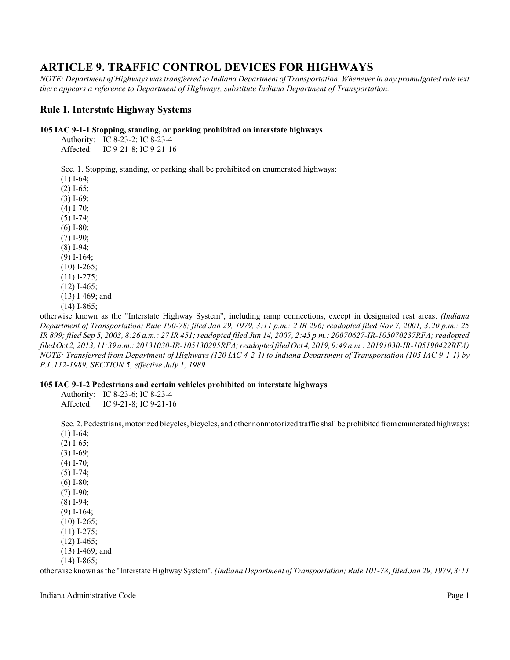# **ARTICLE 9. TRAFFIC CONTROL DEVICES FOR HIGHWAYS**

*NOTE: Department of Highways was transferred to Indiana Department of Transportation. Whenever in any promulgated rule text there appears a reference to Department of Highways, substitute Indiana Department of Transportation.*

# **Rule 1. Interstate Highway Systems**

### **105 IAC 9-1-1 Stopping, standing, or parking prohibited on interstate highways**

| Authority: | IC 8-23-2; IC 8-23-4  |  |
|------------|-----------------------|--|
| Affected:  | IC 9-21-8: IC 9-21-16 |  |

Sec. 1. Stopping, standing, or parking shall be prohibited on enumerated highways:

(1) I-64; (2) I-65; (3) I-69; (4) I-70; (5) I-74; (6) I-80; (7) I-90; (8) I-94; (9) I-164;  $(10)$  I-265;  $(11)$  I-275;  $(12)$  I-465;

(13) I-469; and (14) I-865;

otherwise known as the "Interstate Highway System", including ramp connections, except in designated rest areas. *(Indiana Department of Transportation; Rule 100-78; filed Jan 29, 1979, 3:11 p.m.: 2 IR 296; readopted filed Nov 7, 2001, 3:20 p.m.: 25 IR 899; filed Sep 5, 2003, 8:26 a.m.: 27 IR 451; readopted filed Jun 14, 2007, 2:45 p.m.: 20070627-IR-105070237RFA; readopted filed Oct 2, 2013, 11:39 a.m.: 20131030-IR-105130295RFA; readopted filed Oct 4, 2019, 9:49 a.m.: 20191030-IR-105190422RFA) NOTE: Transferred from Department of Highways (120 IAC 4-2-1) to Indiana Department of Transportation (105 IAC 9-1-1) by P.L.112-1989, SECTION 5, effective July 1, 1989.*

### **105 IAC 9-1-2 Pedestrians and certain vehicles prohibited on interstate highways**

Authority: IC 8-23-6; IC 8-23-4

Affected: IC 9-21-8; IC 9-21-16

Sec. 2. Pedestrians, motorized bicycles, bicycles, and other nonmotorized traffic shall be prohibited fromenumerated highways: (1) I-64;

(2) I-65; (3) I-69; (4) I-70; (5) I-74; (6) I-80; (7) I-90; (8) I-94; (9) I-164; (10) I-265; (11) I-275; (12) I-465; (13) I-469; and (14) I-865;

otherwise known as the "Interstate Highway System". *(Indiana Department of Transportation; Rule 101-78; filed Jan 29, 1979, 3:11*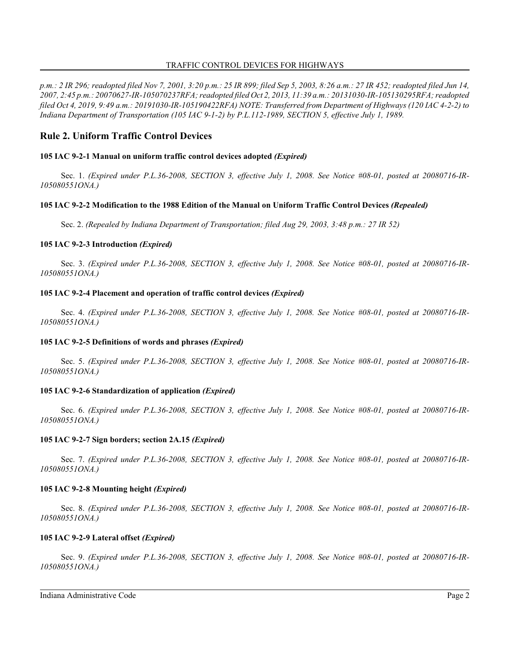### TRAFFIC CONTROL DEVICES FOR HIGHWAYS

*p.m.: 2 IR 296; readopted filed Nov 7, 2001, 3:20 p.m.: 25 IR 899; filed Sep 5, 2003, 8:26 a.m.: 27 IR 452; readopted filed Jun 14, 2007, 2:45 p.m.: 20070627-IR-105070237RFA; readopted filed Oct 2, 2013, 11:39 a.m.: 20131030-IR-105130295RFA; readopted filed Oct 4, 2019, 9:49 a.m.: 20191030-IR-105190422RFA) NOTE: Transferred from Department of Highways (120 IAC 4-2-2) to Indiana Department of Transportation (105 IAC 9-1-2) by P.L.112-1989, SECTION 5, effective July 1, 1989.*

# **Rule 2. Uniform Traffic Control Devices**

### **105 IAC 9-2-1 Manual on uniform traffic control devices adopted** *(Expired)*

Sec. 1. *(Expired under P.L.36-2008, SECTION 3, effective July 1, 2008. See Notice #08-01, posted at 20080716-IR-105080551ONA.)*

### **105 IAC 9-2-2 Modification to the 1988 Edition of the Manual on Uniform Traffic Control Devices** *(Repealed)*

Sec. 2. *(Repealed by Indiana Department of Transportation; filed Aug 29, 2003, 3:48 p.m.: 27 IR 52)*

### **105 IAC 9-2-3 Introduction** *(Expired)*

Sec. 3. *(Expired under P.L.36-2008, SECTION 3, effective July 1, 2008. See Notice #08-01, posted at 20080716-IR-105080551ONA.)*

### **105 IAC 9-2-4 Placement and operation of traffic control devices** *(Expired)*

Sec. 4. *(Expired under P.L.36-2008, SECTION 3, effective July 1, 2008. See Notice #08-01, posted at 20080716-IR-105080551ONA.)*

### **105 IAC 9-2-5 Definitions of words and phrases** *(Expired)*

Sec. 5. *(Expired under P.L.36-2008, SECTION 3, effective July 1, 2008. See Notice #08-01, posted at 20080716-IR-105080551ONA.)*

### **105 IAC 9-2-6 Standardization of application** *(Expired)*

Sec. 6. *(Expired under P.L.36-2008, SECTION 3, effective July 1, 2008. See Notice #08-01, posted at 20080716-IR-105080551ONA.)*

### **105 IAC 9-2-7 Sign borders; section 2A.15** *(Expired)*

Sec. 7. *(Expired under P.L.36-2008, SECTION 3, effective July 1, 2008. See Notice #08-01, posted at 20080716-IR-105080551ONA.)*

### **105 IAC 9-2-8 Mounting height** *(Expired)*

Sec. 8. *(Expired under P.L.36-2008, SECTION 3, effective July 1, 2008. See Notice #08-01, posted at 20080716-IR-105080551ONA.)*

### **105 IAC 9-2-9 Lateral offset** *(Expired)*

Sec. 9. *(Expired under P.L.36-2008, SECTION 3, effective July 1, 2008. See Notice #08-01, posted at 20080716-IR-105080551ONA.)*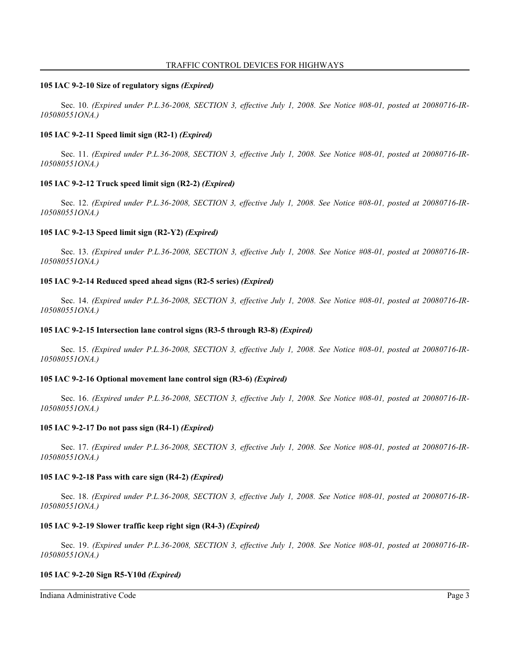#### **105 IAC 9-2-10 Size of regulatory signs** *(Expired)*

Sec. 10. *(Expired under P.L.36-2008, SECTION 3, effective July 1, 2008. See Notice #08-01, posted at 20080716-IR-105080551ONA.)*

### **105 IAC 9-2-11 Speed limit sign (R2-1)** *(Expired)*

Sec. 11. *(Expired under P.L.36-2008, SECTION 3, effective July 1, 2008. See Notice #08-01, posted at 20080716-IR-105080551ONA.)*

### **105 IAC 9-2-12 Truck speed limit sign (R2-2)** *(Expired)*

Sec. 12. *(Expired under P.L.36-2008, SECTION 3, effective July 1, 2008. See Notice #08-01, posted at 20080716-IR-105080551ONA.)*

### **105 IAC 9-2-13 Speed limit sign (R2-Y2)** *(Expired)*

Sec. 13. *(Expired under P.L.36-2008, SECTION 3, effective July 1, 2008. See Notice #08-01, posted at 20080716-IR-105080551ONA.)*

### **105 IAC 9-2-14 Reduced speed ahead signs (R2-5 series)** *(Expired)*

Sec. 14. *(Expired under P.L.36-2008, SECTION 3, effective July 1, 2008. See Notice #08-01, posted at 20080716-IR-105080551ONA.)*

### **105 IAC 9-2-15 Intersection lane control signs (R3-5 through R3-8)** *(Expired)*

Sec. 15. *(Expired under P.L.36-2008, SECTION 3, effective July 1, 2008. See Notice #08-01, posted at 20080716-IR-105080551ONA.)*

#### **105 IAC 9-2-16 Optional movement lane control sign (R3-6)** *(Expired)*

Sec. 16. *(Expired under P.L.36-2008, SECTION 3, effective July 1, 2008. See Notice #08-01, posted at 20080716-IR-105080551ONA.)*

#### **105 IAC 9-2-17 Do not pass sign (R4-1)** *(Expired)*

Sec. 17. *(Expired under P.L.36-2008, SECTION 3, effective July 1, 2008. See Notice #08-01, posted at 20080716-IR-105080551ONA.)*

#### **105 IAC 9-2-18 Pass with care sign (R4-2)** *(Expired)*

Sec. 18. *(Expired under P.L.36-2008, SECTION 3, effective July 1, 2008. See Notice #08-01, posted at 20080716-IR-105080551ONA.)*

#### **105 IAC 9-2-19 Slower traffic keep right sign (R4-3)** *(Expired)*

Sec. 19. *(Expired under P.L.36-2008, SECTION 3, effective July 1, 2008. See Notice #08-01, posted at 20080716-IR-105080551ONA.)*

#### **105 IAC 9-2-20 Sign R5-Y10d** *(Expired)*

Indiana Administrative Code Page 3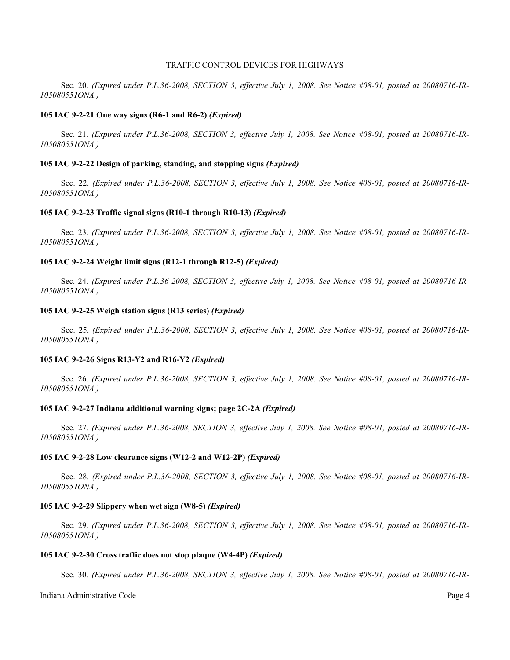Sec. 20. *(Expired under P.L.36-2008, SECTION 3, effective July 1, 2008. See Notice #08-01, posted at 20080716-IR-105080551ONA.)*

### **105 IAC 9-2-21 One way signs (R6-1 and R6-2)** *(Expired)*

Sec. 21. *(Expired under P.L.36-2008, SECTION 3, effective July 1, 2008. See Notice #08-01, posted at 20080716-IR-105080551ONA.)*

### **105 IAC 9-2-22 Design of parking, standing, and stopping signs** *(Expired)*

Sec. 22. *(Expired under P.L.36-2008, SECTION 3, effective July 1, 2008. See Notice #08-01, posted at 20080716-IR-105080551ONA.)*

### **105 IAC 9-2-23 Traffic signal signs (R10-1 through R10-13)** *(Expired)*

Sec. 23. *(Expired under P.L.36-2008, SECTION 3, effective July 1, 2008. See Notice #08-01, posted at 20080716-IR-105080551ONA.)*

### **105 IAC 9-2-24 Weight limit signs (R12-1 through R12-5)** *(Expired)*

Sec. 24. *(Expired under P.L.36-2008, SECTION 3, effective July 1, 2008. See Notice #08-01, posted at 20080716-IR-105080551ONA.)*

#### **105 IAC 9-2-25 Weigh station signs (R13 series)** *(Expired)*

Sec. 25. *(Expired under P.L.36-2008, SECTION 3, effective July 1, 2008. See Notice #08-01, posted at 20080716-IR-105080551ONA.)*

### **105 IAC 9-2-26 Signs R13-Y2 and R16-Y2** *(Expired)*

Sec. 26. *(Expired under P.L.36-2008, SECTION 3, effective July 1, 2008. See Notice #08-01, posted at 20080716-IR-105080551ONA.)*

#### **105 IAC 9-2-27 Indiana additional warning signs; page 2C-2A** *(Expired)*

Sec. 27. *(Expired under P.L.36-2008, SECTION 3, effective July 1, 2008. See Notice #08-01, posted at 20080716-IR-105080551ONA.)*

#### **105 IAC 9-2-28 Low clearance signs (W12-2 and W12-2P)** *(Expired)*

Sec. 28. *(Expired under P.L.36-2008, SECTION 3, effective July 1, 2008. See Notice #08-01, posted at 20080716-IR-105080551ONA.)*

### **105 IAC 9-2-29 Slippery when wet sign (W8-5)** *(Expired)*

Sec. 29. *(Expired under P.L.36-2008, SECTION 3, effective July 1, 2008. See Notice #08-01, posted at 20080716-IR-105080551ONA.)*

#### **105 IAC 9-2-30 Cross traffic does not stop plaque (W4-4P)** *(Expired)*

Sec. 30. *(Expired under P.L.36-2008, SECTION 3, effective July 1, 2008. See Notice #08-01, posted at 20080716-IR-*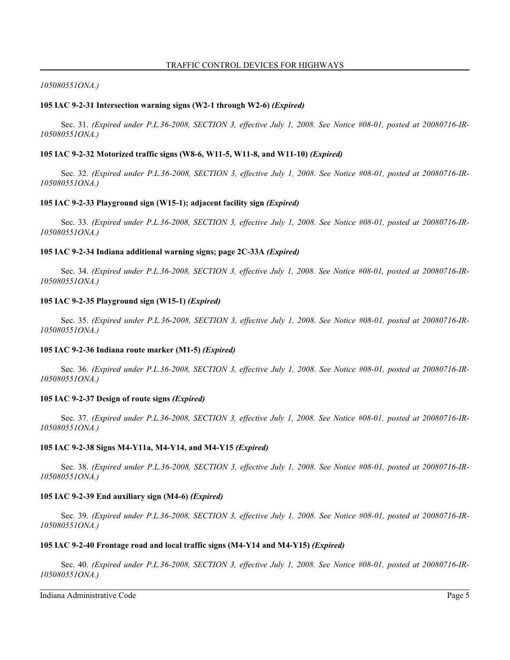#### *105080551ONA.)*

#### **105 IAC 9-2-31 Intersection warning signs (W2-1 through W2-6)** *(Expired)*

Sec. 31. *(Expired under P.L.36-2008, SECTION 3, effective July 1, 2008. See Notice #08-01, posted at 20080716-IR-105080551ONA.)*

#### **105 IAC 9-2-32 Motorized traffic signs (W8-6, W11-5, W11-8, and W11-10)** *(Expired)*

Sec. 32. *(Expired under P.L.36-2008, SECTION 3, effective July 1, 2008. See Notice #08-01, posted at 20080716-IR-105080551ONA.)*

### **105 IAC 9-2-33 Playground sign (W15-1); adjacent facility sign** *(Expired)*

Sec. 33. *(Expired under P.L.36-2008, SECTION 3, effective July 1, 2008. See Notice #08-01, posted at 20080716-IR-105080551ONA.)*

### **105 IAC 9-2-34 Indiana additional warning signs; page 2C-33A** *(Expired)*

Sec. 34. *(Expired under P.L.36-2008, SECTION 3, effective July 1, 2008. See Notice #08-01, posted at 20080716-IR-105080551ONA.)*

#### **105 IAC 9-2-35 Playground sign (W15-1)** *(Expired)*

Sec. 35. *(Expired under P.L.36-2008, SECTION 3, effective July 1, 2008. See Notice #08-01, posted at 20080716-IR-105080551ONA.)*

#### **105 IAC 9-2-36 Indiana route marker (M1-5)** *(Expired)*

Sec. 36. *(Expired under P.L.36-2008, SECTION 3, effective July 1, 2008. See Notice #08-01, posted at 20080716-IR-105080551ONA.)*

#### **105 IAC 9-2-37 Design of route signs** *(Expired)*

Sec. 37. *(Expired under P.L.36-2008, SECTION 3, effective July 1, 2008. See Notice #08-01, posted at 20080716-IR-105080551ONA.)*

### **105 IAC 9-2-38 Signs M4-Y11a, M4-Y14, and M4-Y15** *(Expired)*

Sec. 38. *(Expired under P.L.36-2008, SECTION 3, effective July 1, 2008. See Notice #08-01, posted at 20080716-IR-105080551ONA.)*

#### **105 IAC 9-2-39 End auxiliary sign (M4-6)** *(Expired)*

Sec. 39. *(Expired under P.L.36-2008, SECTION 3, effective July 1, 2008. See Notice #08-01, posted at 20080716-IR-105080551ONA.)*

### **105 IAC 9-2-40 Frontage road and local traffic signs (M4-Y14 and M4-Y15)** *(Expired)*

Sec. 40. *(Expired under P.L.36-2008, SECTION 3, effective July 1, 2008. See Notice #08-01, posted at 20080716-IR-105080551ONA.)*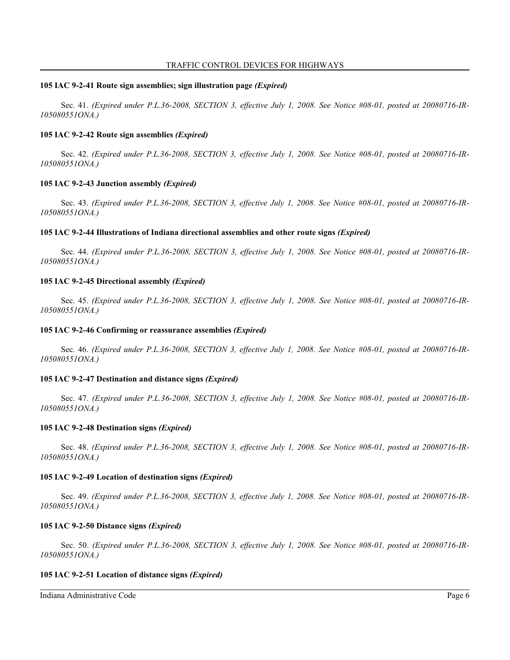#### **105 IAC 9-2-41 Route sign assemblies; sign illustration page** *(Expired)*

Sec. 41. *(Expired under P.L.36-2008, SECTION 3, effective July 1, 2008. See Notice #08-01, posted at 20080716-IR-105080551ONA.)*

### **105 IAC 9-2-42 Route sign assemblies** *(Expired)*

Sec. 42. *(Expired under P.L.36-2008, SECTION 3, effective July 1, 2008. See Notice #08-01, posted at 20080716-IR-105080551ONA.)*

### **105 IAC 9-2-43 Junction assembly** *(Expired)*

Sec. 43. *(Expired under P.L.36-2008, SECTION 3, effective July 1, 2008. See Notice #08-01, posted at 20080716-IR-105080551ONA.)*

### **105 IAC 9-2-44 Illustrations of Indiana directional assemblies and other route signs** *(Expired)*

Sec. 44. *(Expired under P.L.36-2008, SECTION 3, effective July 1, 2008. See Notice #08-01, posted at 20080716-IR-105080551ONA.)*

### **105 IAC 9-2-45 Directional assembly** *(Expired)*

Sec. 45. *(Expired under P.L.36-2008, SECTION 3, effective July 1, 2008. See Notice #08-01, posted at 20080716-IR-105080551ONA.)*

#### **105 IAC 9-2-46 Confirming or reassurance assemblies** *(Expired)*

Sec. 46. *(Expired under P.L.36-2008, SECTION 3, effective July 1, 2008. See Notice #08-01, posted at 20080716-IR-105080551ONA.)*

#### **105 IAC 9-2-47 Destination and distance signs** *(Expired)*

Sec. 47. *(Expired under P.L.36-2008, SECTION 3, effective July 1, 2008. See Notice #08-01, posted at 20080716-IR-105080551ONA.)*

#### **105 IAC 9-2-48 Destination signs** *(Expired)*

Sec. 48. *(Expired under P.L.36-2008, SECTION 3, effective July 1, 2008. See Notice #08-01, posted at 20080716-IR-105080551ONA.)*

#### **105 IAC 9-2-49 Location of destination signs** *(Expired)*

Sec. 49. *(Expired under P.L.36-2008, SECTION 3, effective July 1, 2008. See Notice #08-01, posted at 20080716-IR-105080551ONA.)*

#### **105 IAC 9-2-50 Distance signs** *(Expired)*

Sec. 50. *(Expired under P.L.36-2008, SECTION 3, effective July 1, 2008. See Notice #08-01, posted at 20080716-IR-105080551ONA.)*

#### **105 IAC 9-2-51 Location of distance signs** *(Expired)*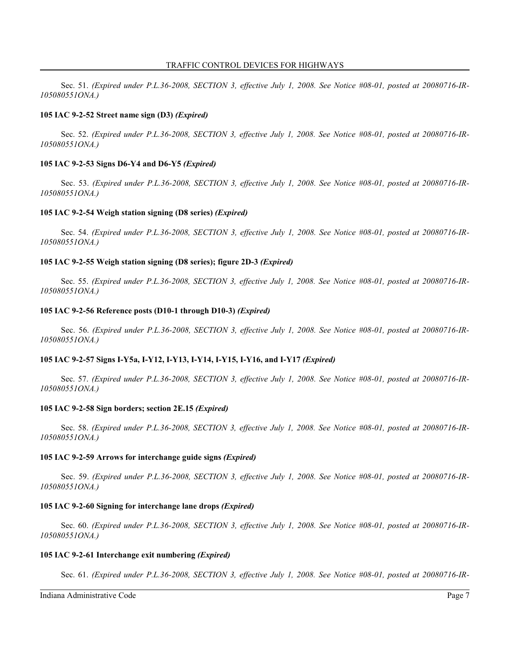Sec. 51. *(Expired under P.L.36-2008, SECTION 3, effective July 1, 2008. See Notice #08-01, posted at 20080716-IR-105080551ONA.)*

### **105 IAC 9-2-52 Street name sign (D3)** *(Expired)*

Sec. 52. *(Expired under P.L.36-2008, SECTION 3, effective July 1, 2008. See Notice #08-01, posted at 20080716-IR-105080551ONA.)*

### **105 IAC 9-2-53 Signs D6-Y4 and D6-Y5** *(Expired)*

Sec. 53. *(Expired under P.L.36-2008, SECTION 3, effective July 1, 2008. See Notice #08-01, posted at 20080716-IR-105080551ONA.)*

### **105 IAC 9-2-54 Weigh station signing (D8 series)** *(Expired)*

Sec. 54. *(Expired under P.L.36-2008, SECTION 3, effective July 1, 2008. See Notice #08-01, posted at 20080716-IR-105080551ONA.)*

### **105 IAC 9-2-55 Weigh station signing (D8 series); figure 2D-3** *(Expired)*

Sec. 55. *(Expired under P.L.36-2008, SECTION 3, effective July 1, 2008. See Notice #08-01, posted at 20080716-IR-105080551ONA.)*

### **105 IAC 9-2-56 Reference posts (D10-1 through D10-3)** *(Expired)*

Sec. 56. *(Expired under P.L.36-2008, SECTION 3, effective July 1, 2008. See Notice #08-01, posted at 20080716-IR-105080551ONA.)*

### **105 IAC 9-2-57 Signs I-Y5a, I-Y12, I-Y13, I-Y14, I-Y15, I-Y16, and I-Y17** *(Expired)*

Sec. 57. *(Expired under P.L.36-2008, SECTION 3, effective July 1, 2008. See Notice #08-01, posted at 20080716-IR-105080551ONA.)*

#### **105 IAC 9-2-58 Sign borders; section 2E.15** *(Expired)*

Sec. 58. *(Expired under P.L.36-2008, SECTION 3, effective July 1, 2008. See Notice #08-01, posted at 20080716-IR-105080551ONA.)*

#### **105 IAC 9-2-59 Arrows for interchange guide signs** *(Expired)*

Sec. 59. *(Expired under P.L.36-2008, SECTION 3, effective July 1, 2008. See Notice #08-01, posted at 20080716-IR-105080551ONA.)*

### **105 IAC 9-2-60 Signing for interchange lane drops** *(Expired)*

Sec. 60. *(Expired under P.L.36-2008, SECTION 3, effective July 1, 2008. See Notice #08-01, posted at 20080716-IR-105080551ONA.)*

### **105 IAC 9-2-61 Interchange exit numbering** *(Expired)*

Sec. 61. *(Expired under P.L.36-2008, SECTION 3, effective July 1, 2008. See Notice #08-01, posted at 20080716-IR-*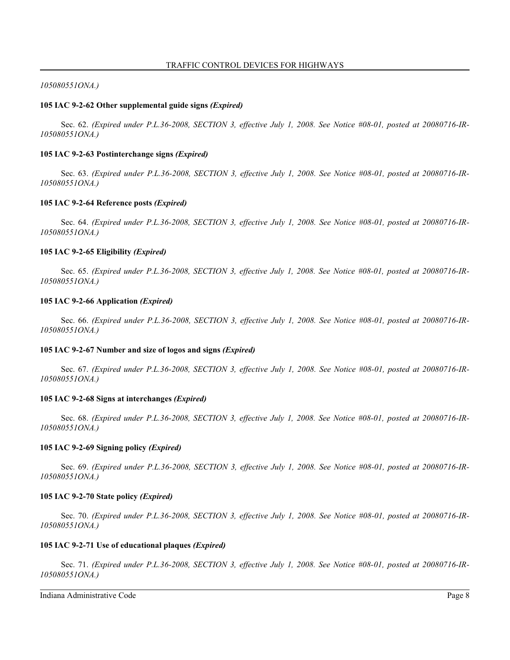### *105080551ONA.)*

### **105 IAC 9-2-62 Other supplemental guide signs** *(Expired)*

Sec. 62. *(Expired under P.L.36-2008, SECTION 3, effective July 1, 2008. See Notice #08-01, posted at 20080716-IR-105080551ONA.)*

### **105 IAC 9-2-63 Postinterchange signs** *(Expired)*

Sec. 63. *(Expired under P.L.36-2008, SECTION 3, effective July 1, 2008. See Notice #08-01, posted at 20080716-IR-105080551ONA.)*

### **105 IAC 9-2-64 Reference posts** *(Expired)*

Sec. 64. *(Expired under P.L.36-2008, SECTION 3, effective July 1, 2008. See Notice #08-01, posted at 20080716-IR-105080551ONA.)*

### **105 IAC 9-2-65 Eligibility** *(Expired)*

Sec. 65. *(Expired under P.L.36-2008, SECTION 3, effective July 1, 2008. See Notice #08-01, posted at 20080716-IR-105080551ONA.)*

#### **105 IAC 9-2-66 Application** *(Expired)*

Sec. 66. *(Expired under P.L.36-2008, SECTION 3, effective July 1, 2008. See Notice #08-01, posted at 20080716-IR-105080551ONA.)*

#### **105 IAC 9-2-67 Number and size of logos and signs** *(Expired)*

Sec. 67. *(Expired under P.L.36-2008, SECTION 3, effective July 1, 2008. See Notice #08-01, posted at 20080716-IR-105080551ONA.)*

#### **105 IAC 9-2-68 Signs at interchanges** *(Expired)*

Sec. 68. *(Expired under P.L.36-2008, SECTION 3, effective July 1, 2008. See Notice #08-01, posted at 20080716-IR-105080551ONA.)*

### **105 IAC 9-2-69 Signing policy** *(Expired)*

Sec. 69. *(Expired under P.L.36-2008, SECTION 3, effective July 1, 2008. See Notice #08-01, posted at 20080716-IR-105080551ONA.)*

#### **105 IAC 9-2-70 State policy** *(Expired)*

Sec. 70. *(Expired under P.L.36-2008, SECTION 3, effective July 1, 2008. See Notice #08-01, posted at 20080716-IR-105080551ONA.)*

### **105 IAC 9-2-71 Use of educational plaques** *(Expired)*

Sec. 71. *(Expired under P.L.36-2008, SECTION 3, effective July 1, 2008. See Notice #08-01, posted at 20080716-IR-105080551ONA.)*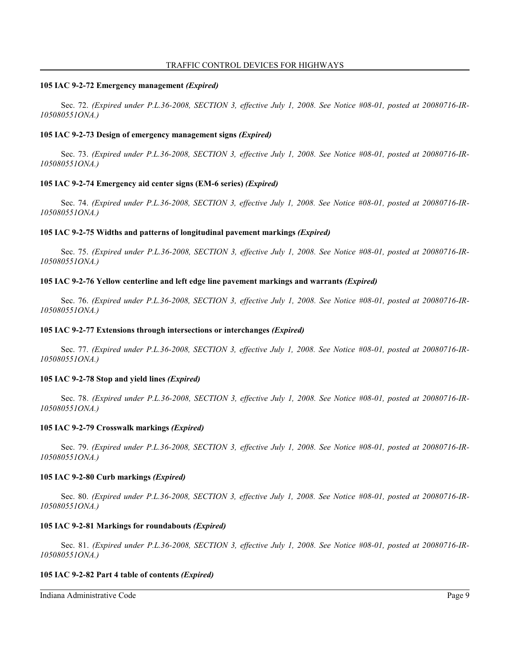#### **105 IAC 9-2-72 Emergency management** *(Expired)*

Sec. 72. *(Expired under P.L.36-2008, SECTION 3, effective July 1, 2008. See Notice #08-01, posted at 20080716-IR-105080551ONA.)*

### **105 IAC 9-2-73 Design of emergency management signs** *(Expired)*

Sec. 73. *(Expired under P.L.36-2008, SECTION 3, effective July 1, 2008. See Notice #08-01, posted at 20080716-IR-105080551ONA.)*

### **105 IAC 9-2-74 Emergency aid center signs (EM-6 series)** *(Expired)*

Sec. 74. *(Expired under P.L.36-2008, SECTION 3, effective July 1, 2008. See Notice #08-01, posted at 20080716-IR-105080551ONA.)*

### **105 IAC 9-2-75 Widths and patterns of longitudinal pavement markings** *(Expired)*

Sec. 75. *(Expired under P.L.36-2008, SECTION 3, effective July 1, 2008. See Notice #08-01, posted at 20080716-IR-105080551ONA.)*

### **105 IAC 9-2-76 Yellow centerline and left edge line pavement markings and warrants** *(Expired)*

Sec. 76. *(Expired under P.L.36-2008, SECTION 3, effective July 1, 2008. See Notice #08-01, posted at 20080716-IR-105080551ONA.)*

#### **105 IAC 9-2-77 Extensions through intersections or interchanges** *(Expired)*

Sec. 77. *(Expired under P.L.36-2008, SECTION 3, effective July 1, 2008. See Notice #08-01, posted at 20080716-IR-105080551ONA.)*

#### **105 IAC 9-2-78 Stop and yield lines** *(Expired)*

Sec. 78. *(Expired under P.L.36-2008, SECTION 3, effective July 1, 2008. See Notice #08-01, posted at 20080716-IR-105080551ONA.)*

#### **105 IAC 9-2-79 Crosswalk markings** *(Expired)*

Sec. 79. *(Expired under P.L.36-2008, SECTION 3, effective July 1, 2008. See Notice #08-01, posted at 20080716-IR-105080551ONA.)*

#### **105 IAC 9-2-80 Curb markings** *(Expired)*

Sec. 80. *(Expired under P.L.36-2008, SECTION 3, effective July 1, 2008. See Notice #08-01, posted at 20080716-IR-105080551ONA.)*

#### **105 IAC 9-2-81 Markings for roundabouts** *(Expired)*

Sec. 81. *(Expired under P.L.36-2008, SECTION 3, effective July 1, 2008. See Notice #08-01, posted at 20080716-IR-105080551ONA.)*

#### **105 IAC 9-2-82 Part 4 table of contents** *(Expired)*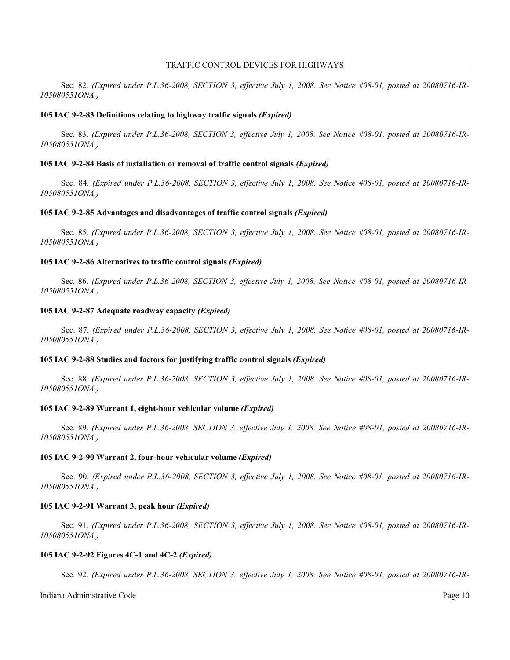Sec. 82. *(Expired under P.L.36-2008, SECTION 3, effective July 1, 2008. See Notice #08-01, posted at 20080716-IR-105080551ONA.)*

### **105 IAC 9-2-83 Definitions relating to highway traffic signals** *(Expired)*

Sec. 83. *(Expired under P.L.36-2008, SECTION 3, effective July 1, 2008. See Notice #08-01, posted at 20080716-IR-105080551ONA.)*

#### **105 IAC 9-2-84 Basis of installation or removal of traffic control signals** *(Expired)*

Sec. 84. *(Expired under P.L.36-2008, SECTION 3, effective July 1, 2008. See Notice #08-01, posted at 20080716-IR-105080551ONA.)*

#### **105 IAC 9-2-85 Advantages and disadvantages of traffic control signals** *(Expired)*

Sec. 85. *(Expired under P.L.36-2008, SECTION 3, effective July 1, 2008. See Notice #08-01, posted at 20080716-IR-105080551ONA.)*

### **105 IAC 9-2-86 Alternatives to traffic control signals** *(Expired)*

Sec. 86. *(Expired under P.L.36-2008, SECTION 3, effective July 1, 2008. See Notice #08-01, posted at 20080716-IR-105080551ONA.)*

#### **105 IAC 9-2-87 Adequate roadway capacity** *(Expired)*

Sec. 87. *(Expired under P.L.36-2008, SECTION 3, effective July 1, 2008. See Notice #08-01, posted at 20080716-IR-105080551ONA.)*

#### **105 IAC 9-2-88 Studies and factors for justifying traffic control signals** *(Expired)*

Sec. 88. *(Expired under P.L.36-2008, SECTION 3, effective July 1, 2008. See Notice #08-01, posted at 20080716-IR-105080551ONA.)*

#### **105 IAC 9-2-89 Warrant 1, eight-hour vehicular volume** *(Expired)*

Sec. 89. *(Expired under P.L.36-2008, SECTION 3, effective July 1, 2008. See Notice #08-01, posted at 20080716-IR-105080551ONA.)*

#### **105 IAC 9-2-90 Warrant 2, four-hour vehicular volume** *(Expired)*

Sec. 90. *(Expired under P.L.36-2008, SECTION 3, effective July 1, 2008. See Notice #08-01, posted at 20080716-IR-105080551ONA.)*

### **105 IAC 9-2-91 Warrant 3, peak hour** *(Expired)*

Sec. 91. *(Expired under P.L.36-2008, SECTION 3, effective July 1, 2008. See Notice #08-01, posted at 20080716-IR-105080551ONA.)*

#### **105 IAC 9-2-92 Figures 4C-1 and 4C-2** *(Expired)*

Sec. 92. *(Expired under P.L.36-2008, SECTION 3, effective July 1, 2008. See Notice #08-01, posted at 20080716-IR-*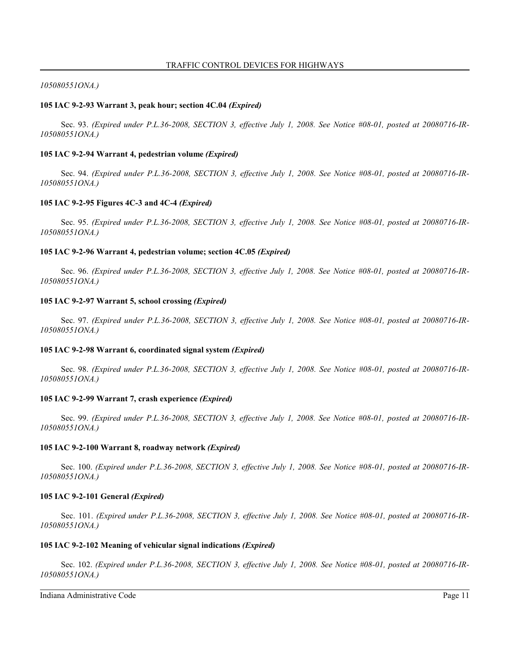### *105080551ONA.)*

### **105 IAC 9-2-93 Warrant 3, peak hour; section 4C.04** *(Expired)*

Sec. 93. *(Expired under P.L.36-2008, SECTION 3, effective July 1, 2008. See Notice #08-01, posted at 20080716-IR-105080551ONA.)*

### **105 IAC 9-2-94 Warrant 4, pedestrian volume** *(Expired)*

Sec. 94. *(Expired under P.L.36-2008, SECTION 3, effective July 1, 2008. See Notice #08-01, posted at 20080716-IR-105080551ONA.)*

### **105 IAC 9-2-95 Figures 4C-3 and 4C-4** *(Expired)*

Sec. 95. *(Expired under P.L.36-2008, SECTION 3, effective July 1, 2008. See Notice #08-01, posted at 20080716-IR-105080551ONA.)*

### **105 IAC 9-2-96 Warrant 4, pedestrian volume; section 4C.05** *(Expired)*

Sec. 96. *(Expired under P.L.36-2008, SECTION 3, effective July 1, 2008. See Notice #08-01, posted at 20080716-IR-105080551ONA.)*

### **105 IAC 9-2-97 Warrant 5, school crossing** *(Expired)*

Sec. 97. *(Expired under P.L.36-2008, SECTION 3, effective July 1, 2008. See Notice #08-01, posted at 20080716-IR-105080551ONA.)*

#### **105 IAC 9-2-98 Warrant 6, coordinated signal system** *(Expired)*

Sec. 98. *(Expired under P.L.36-2008, SECTION 3, effective July 1, 2008. See Notice #08-01, posted at 20080716-IR-105080551ONA.)*

### **105 IAC 9-2-99 Warrant 7, crash experience** *(Expired)*

Sec. 99. *(Expired under P.L.36-2008, SECTION 3, effective July 1, 2008. See Notice #08-01, posted at 20080716-IR-105080551ONA.)*

#### **105 IAC 9-2-100 Warrant 8, roadway network** *(Expired)*

Sec. 100. *(Expired under P.L.36-2008, SECTION 3, effective July 1, 2008. See Notice #08-01, posted at 20080716-IR-105080551ONA.)*

#### **105 IAC 9-2-101 General** *(Expired)*

Sec. 101. *(Expired under P.L.36-2008, SECTION 3, effective July 1, 2008. See Notice #08-01, posted at 20080716-IR-105080551ONA.)*

### **105 IAC 9-2-102 Meaning of vehicular signal indications** *(Expired)*

Sec. 102. *(Expired under P.L.36-2008, SECTION 3, effective July 1, 2008. See Notice #08-01, posted at 20080716-IR-105080551ONA.)*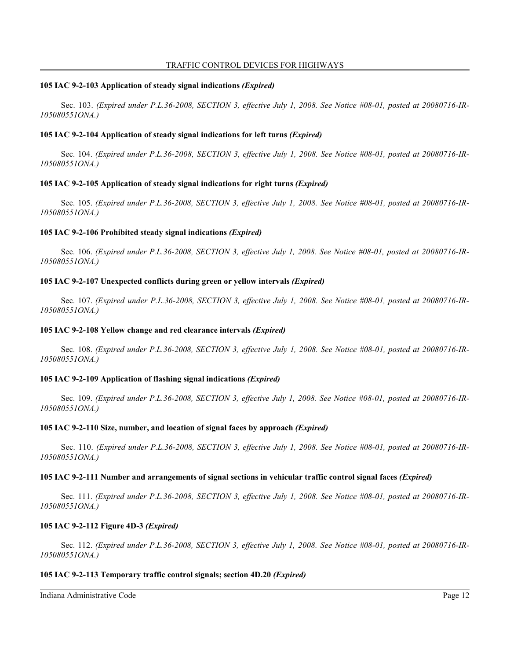### **105 IAC 9-2-103 Application of steady signal indications** *(Expired)*

Sec. 103. *(Expired under P.L.36-2008, SECTION 3, effective July 1, 2008. See Notice #08-01, posted at 20080716-IR-105080551ONA.)*

### **105 IAC 9-2-104 Application of steady signal indications for left turns** *(Expired)*

Sec. 104. *(Expired under P.L.36-2008, SECTION 3, effective July 1, 2008. See Notice #08-01, posted at 20080716-IR-105080551ONA.)*

### **105 IAC 9-2-105 Application of steady signal indications for right turns** *(Expired)*

Sec. 105. *(Expired under P.L.36-2008, SECTION 3, effective July 1, 2008. See Notice #08-01, posted at 20080716-IR-105080551ONA.)*

### **105 IAC 9-2-106 Prohibited steady signal indications** *(Expired)*

Sec. 106. *(Expired under P.L.36-2008, SECTION 3, effective July 1, 2008. See Notice #08-01, posted at 20080716-IR-105080551ONA.)*

### **105 IAC 9-2-107 Unexpected conflicts during green or yellow intervals** *(Expired)*

Sec. 107. *(Expired under P.L.36-2008, SECTION 3, effective July 1, 2008. See Notice #08-01, posted at 20080716-IR-105080551ONA.)*

### **105 IAC 9-2-108 Yellow change and red clearance intervals** *(Expired)*

Sec. 108. *(Expired under P.L.36-2008, SECTION 3, effective July 1, 2008. See Notice #08-01, posted at 20080716-IR-105080551ONA.)*

#### **105 IAC 9-2-109 Application of flashing signal indications** *(Expired)*

Sec. 109. *(Expired under P.L.36-2008, SECTION 3, effective July 1, 2008. See Notice #08-01, posted at 20080716-IR-105080551ONA.)*

#### **105 IAC 9-2-110 Size, number, and location of signal faces by approach** *(Expired)*

Sec. 110. *(Expired under P.L.36-2008, SECTION 3, effective July 1, 2008. See Notice #08-01, posted at 20080716-IR-105080551ONA.)*

#### **105 IAC 9-2-111 Number and arrangements of signal sections in vehicular traffic control signal faces** *(Expired)*

Sec. 111. *(Expired under P.L.36-2008, SECTION 3, effective July 1, 2008. See Notice #08-01, posted at 20080716-IR-105080551ONA.)*

#### **105 IAC 9-2-112 Figure 4D-3** *(Expired)*

Sec. 112. *(Expired under P.L.36-2008, SECTION 3, effective July 1, 2008. See Notice #08-01, posted at 20080716-IR-105080551ONA.)*

#### **105 IAC 9-2-113 Temporary traffic control signals; section 4D.20** *(Expired)*

Indiana Administrative Code Page 12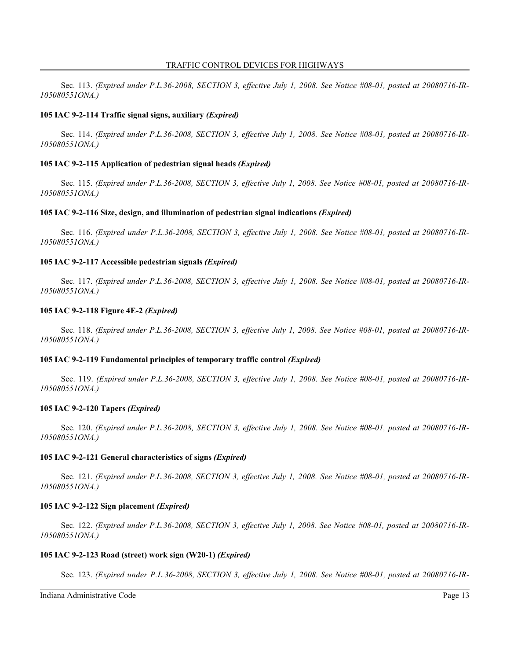Sec. 113. *(Expired under P.L.36-2008, SECTION 3, effective July 1, 2008. See Notice #08-01, posted at 20080716-IR-105080551ONA.)*

### **105 IAC 9-2-114 Traffic signal signs, auxiliary** *(Expired)*

Sec. 114. *(Expired under P.L.36-2008, SECTION 3, effective July 1, 2008. See Notice #08-01, posted at 20080716-IR-105080551ONA.)*

### **105 IAC 9-2-115 Application of pedestrian signal heads** *(Expired)*

Sec. 115. *(Expired under P.L.36-2008, SECTION 3, effective July 1, 2008. See Notice #08-01, posted at 20080716-IR-105080551ONA.)*

### **105 IAC 9-2-116 Size, design, and illumination of pedestrian signal indications** *(Expired)*

Sec. 116. *(Expired under P.L.36-2008, SECTION 3, effective July 1, 2008. See Notice #08-01, posted at 20080716-IR-105080551ONA.)*

### **105 IAC 9-2-117 Accessible pedestrian signals** *(Expired)*

Sec. 117. *(Expired under P.L.36-2008, SECTION 3, effective July 1, 2008. See Notice #08-01, posted at 20080716-IR-105080551ONA.)*

## **105 IAC 9-2-118 Figure 4E-2** *(Expired)*

Sec. 118. *(Expired under P.L.36-2008, SECTION 3, effective July 1, 2008. See Notice #08-01, posted at 20080716-IR-105080551ONA.)*

### **105 IAC 9-2-119 Fundamental principles of temporary traffic control** *(Expired)*

Sec. 119. *(Expired under P.L.36-2008, SECTION 3, effective July 1, 2008. See Notice #08-01, posted at 20080716-IR-105080551ONA.)*

#### **105 IAC 9-2-120 Tapers** *(Expired)*

Sec. 120. *(Expired under P.L.36-2008, SECTION 3, effective July 1, 2008. See Notice #08-01, posted at 20080716-IR-105080551ONA.)*

#### **105 IAC 9-2-121 General characteristics of signs** *(Expired)*

Sec. 121. *(Expired under P.L.36-2008, SECTION 3, effective July 1, 2008. See Notice #08-01, posted at 20080716-IR-105080551ONA.)*

### **105 IAC 9-2-122 Sign placement** *(Expired)*

Sec. 122. *(Expired under P.L.36-2008, SECTION 3, effective July 1, 2008. See Notice #08-01, posted at 20080716-IR-105080551ONA.)*

#### **105 IAC 9-2-123 Road (street) work sign (W20-1)** *(Expired)*

Sec. 123. *(Expired under P.L.36-2008, SECTION 3, effective July 1, 2008. See Notice #08-01, posted at 20080716-IR-*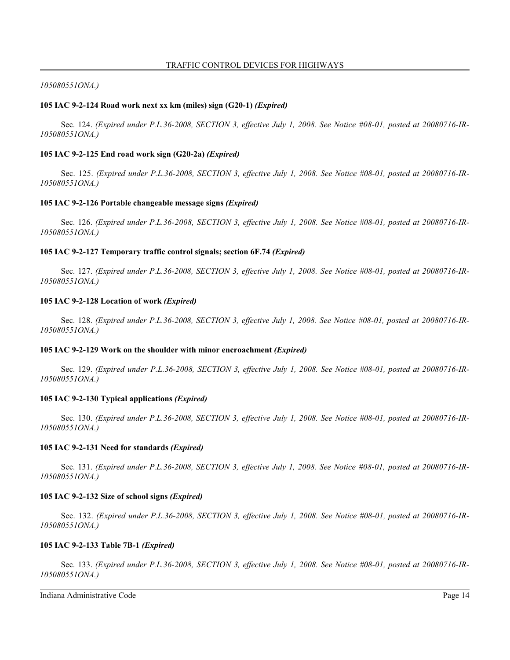### *105080551ONA.)*

### **105 IAC 9-2-124 Road work next xx km (miles) sign (G20-1)** *(Expired)*

Sec. 124. *(Expired under P.L.36-2008, SECTION 3, effective July 1, 2008. See Notice #08-01, posted at 20080716-IR-105080551ONA.)*

### **105 IAC 9-2-125 End road work sign (G20-2a)** *(Expired)*

Sec. 125. *(Expired under P.L.36-2008, SECTION 3, effective July 1, 2008. See Notice #08-01, posted at 20080716-IR-105080551ONA.)*

### **105 IAC 9-2-126 Portable changeable message signs** *(Expired)*

Sec. 126. *(Expired under P.L.36-2008, SECTION 3, effective July 1, 2008. See Notice #08-01, posted at 20080716-IR-105080551ONA.)*

### **105 IAC 9-2-127 Temporary traffic control signals; section 6F.74** *(Expired)*

Sec. 127. *(Expired under P.L.36-2008, SECTION 3, effective July 1, 2008. See Notice #08-01, posted at 20080716-IR-105080551ONA.)*

#### **105 IAC 9-2-128 Location of work** *(Expired)*

Sec. 128. *(Expired under P.L.36-2008, SECTION 3, effective July 1, 2008. See Notice #08-01, posted at 20080716-IR-105080551ONA.)*

#### **105 IAC 9-2-129 Work on the shoulder with minor encroachment** *(Expired)*

Sec. 129. *(Expired under P.L.36-2008, SECTION 3, effective July 1, 2008. See Notice #08-01, posted at 20080716-IR-105080551ONA.)*

#### **105 IAC 9-2-130 Typical applications** *(Expired)*

Sec. 130. *(Expired under P.L.36-2008, SECTION 3, effective July 1, 2008. See Notice #08-01, posted at 20080716-IR-105080551ONA.)*

### **105 IAC 9-2-131 Need for standards** *(Expired)*

Sec. 131. *(Expired under P.L.36-2008, SECTION 3, effective July 1, 2008. See Notice #08-01, posted at 20080716-IR-105080551ONA.)*

#### **105 IAC 9-2-132 Size of school signs** *(Expired)*

Sec. 132. *(Expired under P.L.36-2008, SECTION 3, effective July 1, 2008. See Notice #08-01, posted at 20080716-IR-105080551ONA.)*

#### **105 IAC 9-2-133 Table 7B-1** *(Expired)*

Sec. 133. *(Expired under P.L.36-2008, SECTION 3, effective July 1, 2008. See Notice #08-01, posted at 20080716-IR-105080551ONA.)*

Indiana Administrative Code Page 14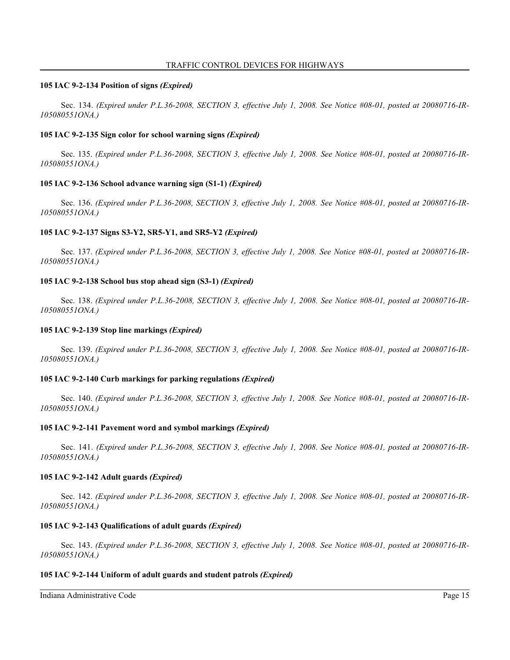#### **105 IAC 9-2-134 Position of signs** *(Expired)*

Sec. 134. *(Expired under P.L.36-2008, SECTION 3, effective July 1, 2008. See Notice #08-01, posted at 20080716-IR-105080551ONA.)*

### **105 IAC 9-2-135 Sign color for school warning signs** *(Expired)*

Sec. 135. *(Expired under P.L.36-2008, SECTION 3, effective July 1, 2008. See Notice #08-01, posted at 20080716-IR-105080551ONA.)*

### **105 IAC 9-2-136 School advance warning sign (S1-1)** *(Expired)*

Sec. 136. *(Expired under P.L.36-2008, SECTION 3, effective July 1, 2008. See Notice #08-01, posted at 20080716-IR-105080551ONA.)*

### **105 IAC 9-2-137 Signs S3-Y2, SR5-Y1, and SR5-Y2** *(Expired)*

Sec. 137. *(Expired under P.L.36-2008, SECTION 3, effective July 1, 2008. See Notice #08-01, posted at 20080716-IR-105080551ONA.)*

### **105 IAC 9-2-138 School bus stop ahead sign (S3-1)** *(Expired)*

Sec. 138. *(Expired under P.L.36-2008, SECTION 3, effective July 1, 2008. See Notice #08-01, posted at 20080716-IR-105080551ONA.)*

#### **105 IAC 9-2-139 Stop line markings** *(Expired)*

Sec. 139. *(Expired under P.L.36-2008, SECTION 3, effective July 1, 2008. See Notice #08-01, posted at 20080716-IR-105080551ONA.)*

#### **105 IAC 9-2-140 Curb markings for parking regulations** *(Expired)*

Sec. 140. *(Expired under P.L.36-2008, SECTION 3, effective July 1, 2008. See Notice #08-01, posted at 20080716-IR-105080551ONA.)*

#### **105 IAC 9-2-141 Pavement word and symbol markings** *(Expired)*

Sec. 141. *(Expired under P.L.36-2008, SECTION 3, effective July 1, 2008. See Notice #08-01, posted at 20080716-IR-105080551ONA.)*

#### **105 IAC 9-2-142 Adult guards** *(Expired)*

Sec. 142. *(Expired under P.L.36-2008, SECTION 3, effective July 1, 2008. See Notice #08-01, posted at 20080716-IR-105080551ONA.)*

#### **105 IAC 9-2-143 Qualifications of adult guards** *(Expired)*

Sec. 143. *(Expired under P.L.36-2008, SECTION 3, effective July 1, 2008. See Notice #08-01, posted at 20080716-IR-105080551ONA.)*

### **105 IAC 9-2-144 Uniform of adult guards and student patrols** *(Expired)*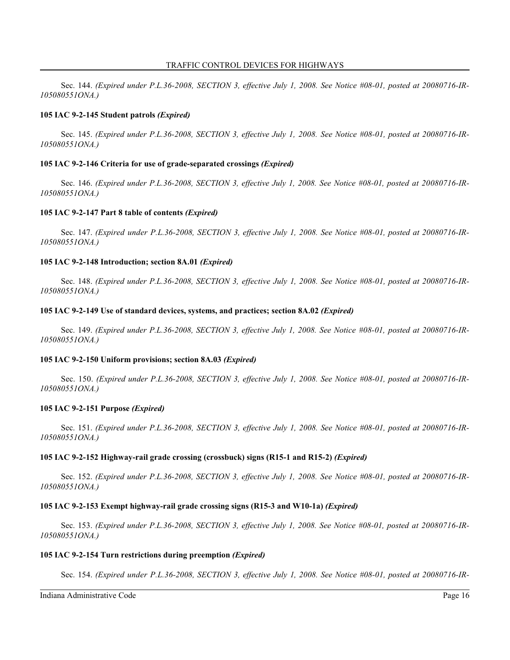Sec. 144. *(Expired under P.L.36-2008, SECTION 3, effective July 1, 2008. See Notice #08-01, posted at 20080716-IR-105080551ONA.)*

#### **105 IAC 9-2-145 Student patrols** *(Expired)*

Sec. 145. *(Expired under P.L.36-2008, SECTION 3, effective July 1, 2008. See Notice #08-01, posted at 20080716-IR-105080551ONA.)*

#### **105 IAC 9-2-146 Criteria for use of grade-separated crossings** *(Expired)*

Sec. 146. *(Expired under P.L.36-2008, SECTION 3, effective July 1, 2008. See Notice #08-01, posted at 20080716-IR-105080551ONA.)*

### **105 IAC 9-2-147 Part 8 table of contents** *(Expired)*

Sec. 147. *(Expired under P.L.36-2008, SECTION 3, effective July 1, 2008. See Notice #08-01, posted at 20080716-IR-105080551ONA.)*

#### **105 IAC 9-2-148 Introduction; section 8A.01** *(Expired)*

Sec. 148. *(Expired under P.L.36-2008, SECTION 3, effective July 1, 2008. See Notice #08-01, posted at 20080716-IR-105080551ONA.)*

#### **105 IAC 9-2-149 Use of standard devices, systems, and practices; section 8A.02** *(Expired)*

Sec. 149. *(Expired under P.L.36-2008, SECTION 3, effective July 1, 2008. See Notice #08-01, posted at 20080716-IR-105080551ONA.)*

#### **105 IAC 9-2-150 Uniform provisions; section 8A.03** *(Expired)*

Sec. 150. *(Expired under P.L.36-2008, SECTION 3, effective July 1, 2008. See Notice #08-01, posted at 20080716-IR-105080551ONA.)*

#### **105 IAC 9-2-151 Purpose** *(Expired)*

Sec. 151. *(Expired under P.L.36-2008, SECTION 3, effective July 1, 2008. See Notice #08-01, posted at 20080716-IR-105080551ONA.)*

#### **105 IAC 9-2-152 Highway-rail grade crossing (crossbuck) signs (R15-1 and R15-2)** *(Expired)*

Sec. 152. *(Expired under P.L.36-2008, SECTION 3, effective July 1, 2008. See Notice #08-01, posted at 20080716-IR-105080551ONA.)*

### **105 IAC 9-2-153 Exempt highway-rail grade crossing signs (R15-3 and W10-1a)** *(Expired)*

Sec. 153. *(Expired under P.L.36-2008, SECTION 3, effective July 1, 2008. See Notice #08-01, posted at 20080716-IR-105080551ONA.)*

#### **105 IAC 9-2-154 Turn restrictions during preemption** *(Expired)*

Sec. 154. *(Expired under P.L.36-2008, SECTION 3, effective July 1, 2008. See Notice #08-01, posted at 20080716-IR-*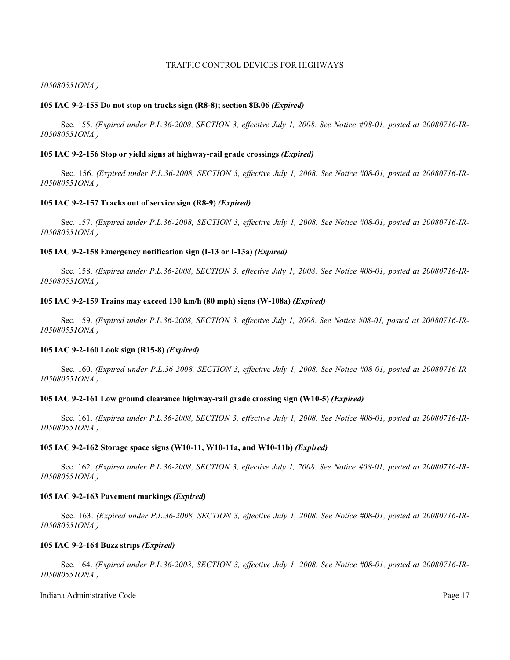### *105080551ONA.)*

### **105 IAC 9-2-155 Do not stop on tracks sign (R8-8); section 8B.06** *(Expired)*

Sec. 155. *(Expired under P.L.36-2008, SECTION 3, effective July 1, 2008. See Notice #08-01, posted at 20080716-IR-105080551ONA.)*

### **105 IAC 9-2-156 Stop or yield signs at highway-rail grade crossings** *(Expired)*

Sec. 156. *(Expired under P.L.36-2008, SECTION 3, effective July 1, 2008. See Notice #08-01, posted at 20080716-IR-105080551ONA.)*

### **105 IAC 9-2-157 Tracks out of service sign (R8-9)** *(Expired)*

Sec. 157. *(Expired under P.L.36-2008, SECTION 3, effective July 1, 2008. See Notice #08-01, posted at 20080716-IR-105080551ONA.)*

### **105 IAC 9-2-158 Emergency notification sign (I-13 or I-13a)** *(Expired)*

Sec. 158. *(Expired under P.L.36-2008, SECTION 3, effective July 1, 2008. See Notice #08-01, posted at 20080716-IR-105080551ONA.)*

### **105 IAC 9-2-159 Trains may exceed 130 km/h (80 mph) signs (W-108a)** *(Expired)*

Sec. 159. *(Expired under P.L.36-2008, SECTION 3, effective July 1, 2008. See Notice #08-01, posted at 20080716-IR-105080551ONA.)*

#### **105 IAC 9-2-160 Look sign (R15-8)** *(Expired)*

Sec. 160. *(Expired under P.L.36-2008, SECTION 3, effective July 1, 2008. See Notice #08-01, posted at 20080716-IR-105080551ONA.)*

### **105 IAC 9-2-161 Low ground clearance highway-rail grade crossing sign (W10-5)** *(Expired)*

Sec. 161. *(Expired under P.L.36-2008, SECTION 3, effective July 1, 2008. See Notice #08-01, posted at 20080716-IR-105080551ONA.)*

#### **105 IAC 9-2-162 Storage space signs (W10-11, W10-11a, and W10-11b)** *(Expired)*

Sec. 162. *(Expired under P.L.36-2008, SECTION 3, effective July 1, 2008. See Notice #08-01, posted at 20080716-IR-105080551ONA.)*

#### **105 IAC 9-2-163 Pavement markings** *(Expired)*

Sec. 163. *(Expired under P.L.36-2008, SECTION 3, effective July 1, 2008. See Notice #08-01, posted at 20080716-IR-105080551ONA.)*

#### **105 IAC 9-2-164 Buzz strips** *(Expired)*

Sec. 164. *(Expired under P.L.36-2008, SECTION 3, effective July 1, 2008. See Notice #08-01, posted at 20080716-IR-105080551ONA.)*

Indiana Administrative Code Page 17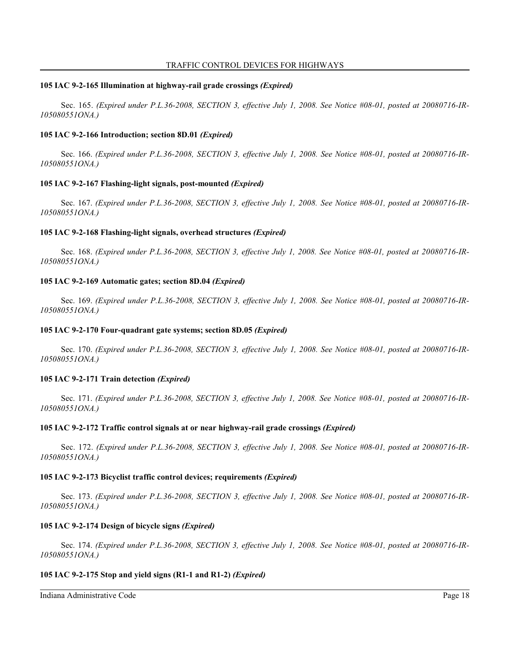### **105 IAC 9-2-165 Illumination at highway-rail grade crossings** *(Expired)*

Sec. 165. *(Expired under P.L.36-2008, SECTION 3, effective July 1, 2008. See Notice #08-01, posted at 20080716-IR-105080551ONA.)*

### **105 IAC 9-2-166 Introduction; section 8D.01** *(Expired)*

Sec. 166. *(Expired under P.L.36-2008, SECTION 3, effective July 1, 2008. See Notice #08-01, posted at 20080716-IR-105080551ONA.)*

### **105 IAC 9-2-167 Flashing-light signals, post-mounted** *(Expired)*

Sec. 167. *(Expired under P.L.36-2008, SECTION 3, effective July 1, 2008. See Notice #08-01, posted at 20080716-IR-105080551ONA.)*

### **105 IAC 9-2-168 Flashing-light signals, overhead structures** *(Expired)*

Sec. 168. *(Expired under P.L.36-2008, SECTION 3, effective July 1, 2008. See Notice #08-01, posted at 20080716-IR-105080551ONA.)*

### **105 IAC 9-2-169 Automatic gates; section 8D.04** *(Expired)*

Sec. 169. *(Expired under P.L.36-2008, SECTION 3, effective July 1, 2008. See Notice #08-01, posted at 20080716-IR-105080551ONA.)*

### **105 IAC 9-2-170 Four-quadrant gate systems; section 8D.05** *(Expired)*

Sec. 170. *(Expired under P.L.36-2008, SECTION 3, effective July 1, 2008. See Notice #08-01, posted at 20080716-IR-105080551ONA.)*

#### **105 IAC 9-2-171 Train detection** *(Expired)*

Sec. 171. *(Expired under P.L.36-2008, SECTION 3, effective July 1, 2008. See Notice #08-01, posted at 20080716-IR-105080551ONA.)*

#### **105 IAC 9-2-172 Traffic control signals at or near highway-rail grade crossings** *(Expired)*

Sec. 172. *(Expired under P.L.36-2008, SECTION 3, effective July 1, 2008. See Notice #08-01, posted at 20080716-IR-105080551ONA.)*

#### **105 IAC 9-2-173 Bicyclist traffic control devices; requirements** *(Expired)*

Sec. 173. *(Expired under P.L.36-2008, SECTION 3, effective July 1, 2008. See Notice #08-01, posted at 20080716-IR-105080551ONA.)*

#### **105 IAC 9-2-174 Design of bicycle signs** *(Expired)*

Sec. 174. *(Expired under P.L.36-2008, SECTION 3, effective July 1, 2008. See Notice #08-01, posted at 20080716-IR-105080551ONA.)*

### **105 IAC 9-2-175 Stop and yield signs (R1-1 and R1-2)** *(Expired)*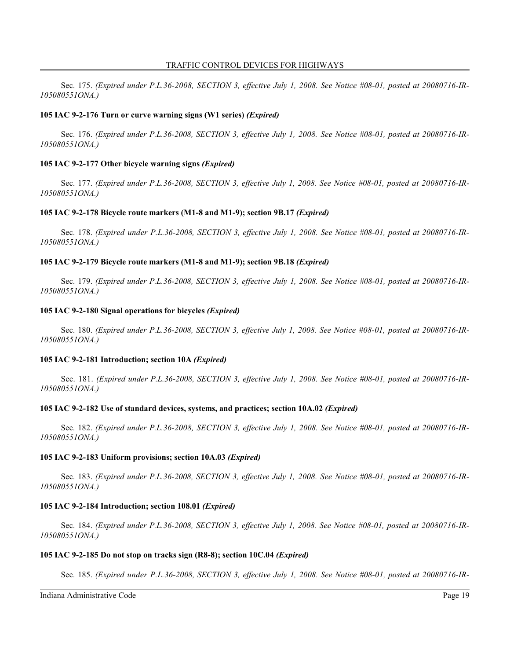Sec. 175. *(Expired under P.L.36-2008, SECTION 3, effective July 1, 2008. See Notice #08-01, posted at 20080716-IR-105080551ONA.)*

### **105 IAC 9-2-176 Turn or curve warning signs (W1 series)** *(Expired)*

Sec. 176. *(Expired under P.L.36-2008, SECTION 3, effective July 1, 2008. See Notice #08-01, posted at 20080716-IR-105080551ONA.)*

### **105 IAC 9-2-177 Other bicycle warning signs** *(Expired)*

Sec. 177. *(Expired under P.L.36-2008, SECTION 3, effective July 1, 2008. See Notice #08-01, posted at 20080716-IR-105080551ONA.)*

#### **105 IAC 9-2-178 Bicycle route markers (M1-8 and M1-9); section 9B.17** *(Expired)*

Sec. 178. *(Expired under P.L.36-2008, SECTION 3, effective July 1, 2008. See Notice #08-01, posted at 20080716-IR-105080551ONA.)*

#### **105 IAC 9-2-179 Bicycle route markers (M1-8 and M1-9); section 9B.18** *(Expired)*

Sec. 179. *(Expired under P.L.36-2008, SECTION 3, effective July 1, 2008. See Notice #08-01, posted at 20080716-IR-105080551ONA.)*

### **105 IAC 9-2-180 Signal operations for bicycles** *(Expired)*

Sec. 180. *(Expired under P.L.36-2008, SECTION 3, effective July 1, 2008. See Notice #08-01, posted at 20080716-IR-105080551ONA.)*

#### **105 IAC 9-2-181 Introduction; section 10A** *(Expired)*

Sec. 181. *(Expired under P.L.36-2008, SECTION 3, effective July 1, 2008. See Notice #08-01, posted at 20080716-IR-105080551ONA.)*

#### **105 IAC 9-2-182 Use of standard devices, systems, and practices; section 10A.02** *(Expired)*

Sec. 182. *(Expired under P.L.36-2008, SECTION 3, effective July 1, 2008. See Notice #08-01, posted at 20080716-IR-105080551ONA.)*

#### **105 IAC 9-2-183 Uniform provisions; section 10A.03** *(Expired)*

Sec. 183. *(Expired under P.L.36-2008, SECTION 3, effective July 1, 2008. See Notice #08-01, posted at 20080716-IR-105080551ONA.)*

#### **105 IAC 9-2-184 Introduction; section 108.01** *(Expired)*

Sec. 184. *(Expired under P.L.36-2008, SECTION 3, effective July 1, 2008. See Notice #08-01, posted at 20080716-IR-105080551ONA.)*

#### **105 IAC 9-2-185 Do not stop on tracks sign (R8-8); section 10C.04** *(Expired)*

Sec. 185. *(Expired under P.L.36-2008, SECTION 3, effective July 1, 2008. See Notice #08-01, posted at 20080716-IR-*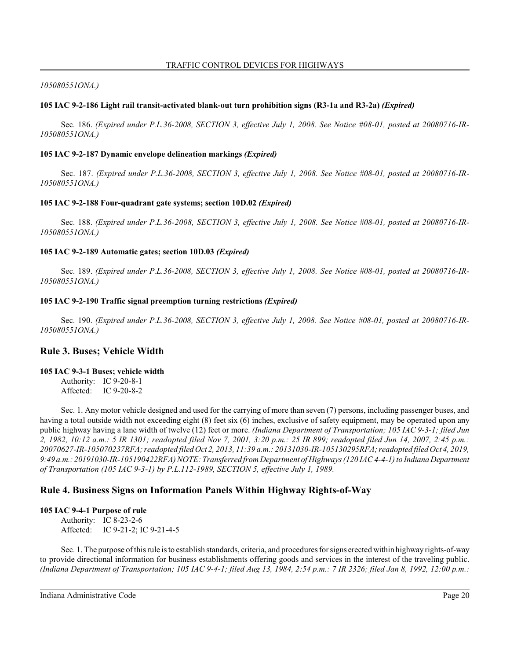### *105080551ONA.)*

### **105 IAC 9-2-186 Light rail transit-activated blank-out turn prohibition signs (R3-1a and R3-2a)** *(Expired)*

Sec. 186. *(Expired under P.L.36-2008, SECTION 3, effective July 1, 2008. See Notice #08-01, posted at 20080716-IR-105080551ONA.)*

#### **105 IAC 9-2-187 Dynamic envelope delineation markings** *(Expired)*

Sec. 187. *(Expired under P.L.36-2008, SECTION 3, effective July 1, 2008. See Notice #08-01, posted at 20080716-IR-105080551ONA.)*

### **105 IAC 9-2-188 Four-quadrant gate systems; section 10D.02** *(Expired)*

Sec. 188. *(Expired under P.L.36-2008, SECTION 3, effective July 1, 2008. See Notice #08-01, posted at 20080716-IR-105080551ONA.)*

### **105 IAC 9-2-189 Automatic gates; section 10D.03** *(Expired)*

Sec. 189. *(Expired under P.L.36-2008, SECTION 3, effective July 1, 2008. See Notice #08-01, posted at 20080716-IR-105080551ONA.)*

### **105 IAC 9-2-190 Traffic signal preemption turning restrictions** *(Expired)*

Sec. 190. *(Expired under P.L.36-2008, SECTION 3, effective July 1, 2008. See Notice #08-01, posted at 20080716-IR-105080551ONA.)*

# **Rule 3. Buses; Vehicle Width**

**105 IAC 9-3-1 Buses; vehicle width** Authority: IC 9-20-8-1

Affected: IC 9-20-8-2

Sec. 1. Any motor vehicle designed and used for the carrying of more than seven (7) persons, including passenger buses, and having a total outside width not exceeding eight (8) feet six (6) inches, exclusive of safety equipment, may be operated upon any public highway having a lane width of twelve (12) feet or more. *(Indiana Department of Transportation; 105 IAC 9-3-1; filed Jun 2, 1982, 10:12 a.m.: 5 IR 1301; readopted filed Nov 7, 2001, 3:20 p.m.: 25 IR 899; readopted filed Jun 14, 2007, 2:45 p.m.: 20070627-IR-105070237RFA; readopted filed Oct 2, 2013, 11:39 a.m.: 20131030-IR-105130295RFA; readopted filed Oct 4, 2019, 9:49 a.m.: 20191030-IR-105190422RFA) NOTE: Transferred from Department of Highways (120 IAC 4-4-1) to Indiana Department of Transportation (105 IAC 9-3-1) by P.L.112-1989, SECTION 5, effective July 1, 1989.*

# **Rule 4. Business Signs on Information Panels Within Highway Rights-of-Way**

### **105 IAC 9-4-1 Purpose of rule**

Authority: IC 8-23-2-6 Affected: IC 9-21-2; IC 9-21-4-5

Sec. 1. The purpose of thisrule is to establish standards, criteria, and procedures for signs erected within highway rights-of-way to provide directional information for business establishments offering goods and services in the interest of the traveling public. *(Indiana Department of Transportation; 105 IAC 9-4-1; filed Aug 13, 1984, 2:54 p.m.: 7 IR 2326; filed Jan 8, 1992, 12:00 p.m.:*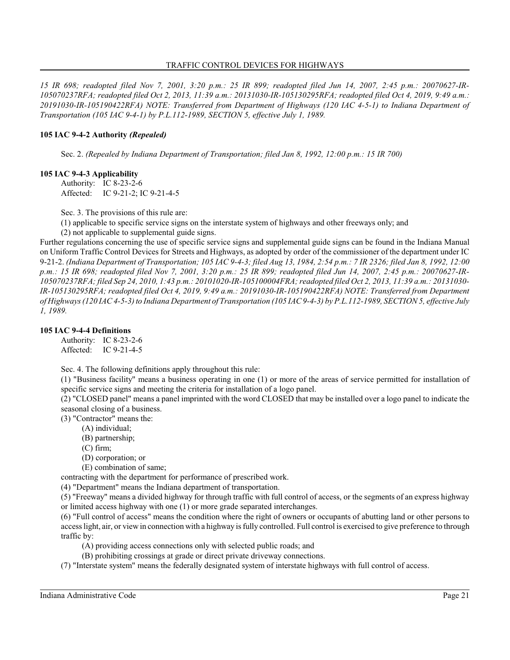### TRAFFIC CONTROL DEVICES FOR HIGHWAYS

*15 IR 698; readopted filed Nov 7, 2001, 3:20 p.m.: 25 IR 899; readopted filed Jun 14, 2007, 2:45 p.m.: 20070627-IR-105070237RFA; readopted filed Oct 2, 2013, 11:39 a.m.: 20131030-IR-105130295RFA; readopted filed Oct 4, 2019, 9:49 a.m.: 20191030-IR-105190422RFA) NOTE: Transferred from Department of Highways (120 IAC 4-5-1) to Indiana Department of Transportation (105 IAC 9-4-1) by P.L.112-1989, SECTION 5, effective July 1, 1989.*

### **105 IAC 9-4-2 Authority** *(Repealed)*

Sec. 2. *(Repealed by Indiana Department of Transportation; filed Jan 8, 1992, 12:00 p.m.: 15 IR 700)*

### **105 IAC 9-4-3 Applicability**

Authority: IC 8-23-2-6 Affected: IC 9-21-2; IC 9-21-4-5

Sec. 3. The provisions of this rule are:

(1) applicable to specific service signs on the interstate system of highways and other freeways only; and

(2) not applicable to supplemental guide signs.

Further regulations concerning the use of specific service signs and supplemental guide signs can be found in the Indiana Manual on Uniform Traffic Control Devices for Streets and Highways, as adopted by order of the commissioner of the department under IC 9-21-2. *(Indiana Department of Transportation; 105 IAC 9-4-3; filed Aug 13, 1984, 2:54 p.m.: 7 IR 2326; filed Jan 8, 1992, 12:00 p.m.: 15 IR 698; readopted filed Nov 7, 2001, 3:20 p.m.: 25 IR 899; readopted filed Jun 14, 2007, 2:45 p.m.: 20070627-IR-105070237RFA; filed Sep 24, 2010, 1:43 p.m.: 20101020-IR-105100004FRA; readopted filed Oct 2, 2013, 11:39 a.m.: 20131030- IR-105130295RFA; readopted filed Oct 4, 2019, 9:49 a.m.: 20191030-IR-105190422RFA) NOTE: Transferred from Department of Highways (120 IAC 4-5-3) to Indiana Department of Transportation (105 IAC 9-4-3) by P.L.112-1989, SECTION 5, effective July 1, 1989.*

### **105 IAC 9-4-4 Definitions**

Authority: IC 8-23-2-6 Affected: IC 9-21-4-5

Sec. 4. The following definitions apply throughout this rule:

(1) "Business facility" means a business operating in one (1) or more of the areas of service permitted for installation of specific service signs and meeting the criteria for installation of a logo panel.

(2) "CLOSED panel" means a panel imprinted with the word CLOSED that may be installed over a logo panel to indicate the seasonal closing of a business.

(3) "Contractor" means the:

- (A) individual;
- (B) partnership;
- (C) firm;
- (D) corporation; or
- (E) combination of same;

contracting with the department for performance of prescribed work.

(4) "Department" means the Indiana department of transportation.

(5) "Freeway" means a divided highway for through traffic with full control of access, or the segments of an express highway or limited access highway with one (1) or more grade separated interchanges.

(6) "Full control of access" means the condition where the right of owners or occupants of abutting land or other persons to access light, air, or viewin connection with a highway is fully controlled. Full control is exercised to give preference to through traffic by:

- (A) providing access connections only with selected public roads; and
- (B) prohibiting crossings at grade or direct private driveway connections.

(7) "Interstate system" means the federally designated system of interstate highways with full control of access.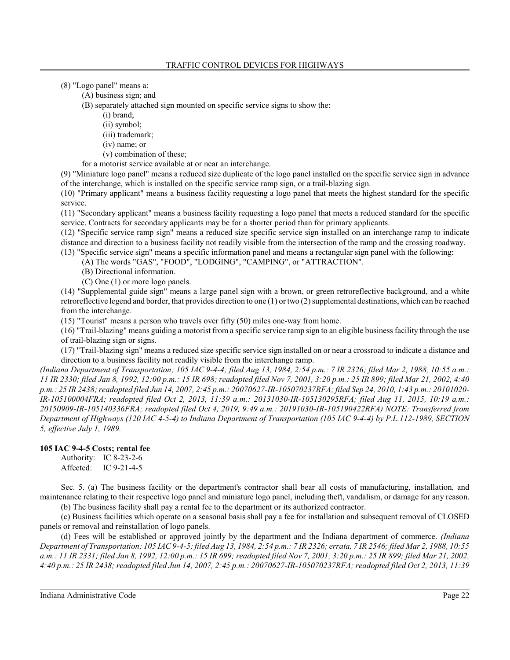(8) "Logo panel" means a:

(A) business sign; and

(B) separately attached sign mounted on specific service signs to show the:

- (i) brand;
- (ii) symbol;
- (iii) trademark;
- (iv) name; or
- (v) combination of these;

for a motorist service available at or near an interchange.

(9) "Miniature logo panel" means a reduced size duplicate of the logo panel installed on the specific service sign in advance of the interchange, which is installed on the specific service ramp sign, or a trail-blazing sign.

(10) "Primary applicant" means a business facility requesting a logo panel that meets the highest standard for the specific service.

(11) "Secondary applicant" means a business facility requesting a logo panel that meets a reduced standard for the specific service. Contracts for secondary applicants may be for a shorter period than for primary applicants.

(12) "Specific service ramp sign" means a reduced size specific service sign installed on an interchange ramp to indicate distance and direction to a business facility not readily visible from the intersection of the ramp and the crossing roadway.

(13) "Specific service sign" means a specific information panel and means a rectangular sign panel with the following:

(A) The words "GAS", "FOOD", "LODGING", "CAMPING", or "ATTRACTION".

- (B) Directional information.
- (C) One (1) or more logo panels.

(14) "Supplemental guide sign" means a large panel sign with a brown, or green retroreflective background, and a white retroreflective legend and border, that provides direction to one (1) or two (2) supplemental destinations, which can be reached from the interchange.

(15) "Tourist" means a person who travels over fifty (50) miles one-way from home.

(16) "Trail-blazing" means guiding a motorist from a specific service ramp sign to an eligible business facility through the use of trail-blazing sign or signs.

(17) "Trail-blazing sign" means a reduced size specific service sign installed on or near a crossroad to indicate a distance and direction to a business facility not readily visible from the interchange ramp.

*(Indiana Department of Transportation; 105 IAC 9-4-4; filed Aug 13, 1984, 2:54 p.m.: 7 IR 2326; filed Mar 2, 1988, 10:55 a.m.: 11 IR 2330; filed Jan 8, 1992, 12:00 p.m.: 15 IR 698; readopted filed Nov 7, 2001, 3:20 p.m.: 25 IR 899; filed Mar 21, 2002, 4:40 p.m.: 25 IR 2438; readopted filed Jun 14, 2007, 2:45 p.m.: 20070627-IR-105070237RFA; filed Sep 24, 2010, 1:43 p.m.: 20101020- IR-105100004FRA; readopted filed Oct 2, 2013, 11:39 a.m.: 20131030-IR-105130295RFA; filed Aug 11, 2015, 10:19 a.m.: 20150909-IR-105140336FRA; readopted filed Oct 4, 2019, 9:49 a.m.: 20191030-IR-105190422RFA) NOTE: Transferred from Department of Highways (120 IAC 4-5-4) to Indiana Department of Transportation (105 IAC 9-4-4) by P.L.112-1989, SECTION 5, effective July 1, 1989.*

### **105 IAC 9-4-5 Costs; rental fee**

Authority: IC 8-23-2-6 Affected: IC 9-21-4-5

Sec. 5. (a) The business facility or the department's contractor shall bear all costs of manufacturing, installation, and maintenance relating to their respective logo panel and miniature logo panel, including theft, vandalism, or damage for any reason. (b) The business facility shall pay a rental fee to the department or its authorized contractor.

(c) Business facilities which operate on a seasonal basis shall pay a fee for installation and subsequent removal of CLOSED panels or removal and reinstallation of logo panels.

(d) Fees will be established or approved jointly by the department and the Indiana department of commerce. *(Indiana Department of Transportation; 105 IAC 9-4-5; filed Aug 13, 1984, 2:54 p.m.: 7 IR 2326; errata, 7 IR 2546; filed Mar 2, 1988, 10:55 a.m.: 11 IR 2331; filed Jan 8, 1992, 12:00 p.m.: 15 IR 699; readopted filed Nov 7, 2001, 3:20 p.m.: 25 IR 899; filed Mar 21, 2002, 4:40 p.m.: 25 IR 2438; readopted filed Jun 14, 2007, 2:45 p.m.: 20070627-IR-105070237RFA; readopted filed Oct 2, 2013, 11:39*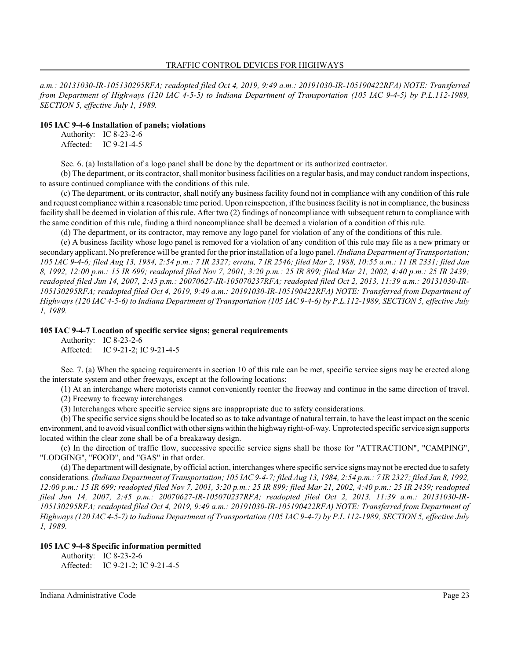*a.m.: 20131030-IR-105130295RFA; readopted filed Oct 4, 2019, 9:49 a.m.: 20191030-IR-105190422RFA) NOTE: Transferred from Department of Highways (120 IAC 4-5-5) to Indiana Department of Transportation (105 IAC 9-4-5) by P.L.112-1989, SECTION 5, effective July 1, 1989.*

#### **105 IAC 9-4-6 Installation of panels; violations**

Authority: IC 8-23-2-6 Affected: IC 9-21-4-5

Sec. 6. (a) Installation of a logo panel shall be done by the department or its authorized contractor.

(b) The department, or its contractor, shall monitor business facilities on a regular basis, and may conduct random inspections, to assure continued compliance with the conditions of this rule.

(c) The department, or its contractor, shall notify any business facility found not in compliance with any condition of this rule and request compliance within a reasonable time period. Upon reinspection, if the business facility is not in compliance, the business facility shall be deemed in violation of thisrule. After two (2) findings of noncompliance with subsequent return to compliance with the same condition of this rule, finding a third noncompliance shall be deemed a violation of a condition of this rule.

(d) The department, or its contractor, may remove any logo panel for violation of any of the conditions of this rule.

(e) A business facility whose logo panel is removed for a violation of any condition of this rule may file as a new primary or secondary applicant. No preference will be granted for the prior installation of a logo panel. *(Indiana Department of Transportation; 105 IAC 9-4-6; filed Aug 13, 1984, 2:54 p.m.: 7 IR 2327; errata, 7 IR 2546; filed Mar 2, 1988, 10:55 a.m.: 11 IR 2331; filed Jan 8, 1992, 12:00 p.m.: 15 IR 699; readopted filed Nov 7, 2001, 3:20 p.m.: 25 IR 899; filed Mar 21, 2002, 4:40 p.m.: 25 IR 2439; readopted filed Jun 14, 2007, 2:45 p.m.: 20070627-IR-105070237RFA; readopted filed Oct 2, 2013, 11:39 a.m.: 20131030-IR-105130295RFA; readopted filed Oct 4, 2019, 9:49 a.m.: 20191030-IR-105190422RFA) NOTE: Transferred from Department of Highways (120 IAC 4-5-6) to Indiana Department of Transportation (105 IAC 9-4-6) by P.L.112-1989, SECTION 5, effective July 1, 1989.*

#### **105 IAC 9-4-7 Location of specific service signs; general requirements**

Authority: IC 8-23-2-6 Affected: IC 9-21-2; IC 9-21-4-5

Sec. 7. (a) When the spacing requirements in section 10 of this rule can be met, specific service signs may be erected along the interstate system and other freeways, except at the following locations:

(1) At an interchange where motorists cannot conveniently reenter the freeway and continue in the same direction of travel.

(2) Freeway to freeway interchanges.

(3) Interchanges where specific service signs are inappropriate due to safety considerations.

(b) The specific service signs should be located so as to take advantage of natural terrain, to have the least impact on the scenic environment, and to avoid visual conflict with other signs within the highwayright-of-way. Unprotected specific service sign supports located within the clear zone shall be of a breakaway design.

(c) In the direction of traffic flow, successive specific service signs shall be those for "ATTRACTION", "CAMPING", "LODGING", "FOOD", and "GAS" in that order.

(d) The department will designate, by official action, interchanges where specific service signs may not be erected due to safety considerations. *(Indiana Department of Transportation; 105 IAC 9-4-7; filed Aug 13, 1984, 2:54 p.m.: 7 IR 2327; filed Jan 8, 1992, 12:00 p.m.: 15 IR 699; readopted filed Nov 7, 2001, 3:20 p.m.: 25 IR 899; filed Mar 21, 2002, 4:40 p.m.: 25 IR 2439; readopted filed Jun 14, 2007, 2:45 p.m.: 20070627-IR-105070237RFA; readopted filed Oct 2, 2013, 11:39 a.m.: 20131030-IR-105130295RFA; readopted filed Oct 4, 2019, 9:49 a.m.: 20191030-IR-105190422RFA) NOTE: Transferred from Department of Highways (120 IAC 4-5-7) to Indiana Department of Transportation (105 IAC 9-4-7) by P.L.112-1989, SECTION 5, effective July 1, 1989.*

#### **105 IAC 9-4-8 Specific information permitted**

Authority: IC 8-23-2-6 Affected: IC 9-21-2; IC 9-21-4-5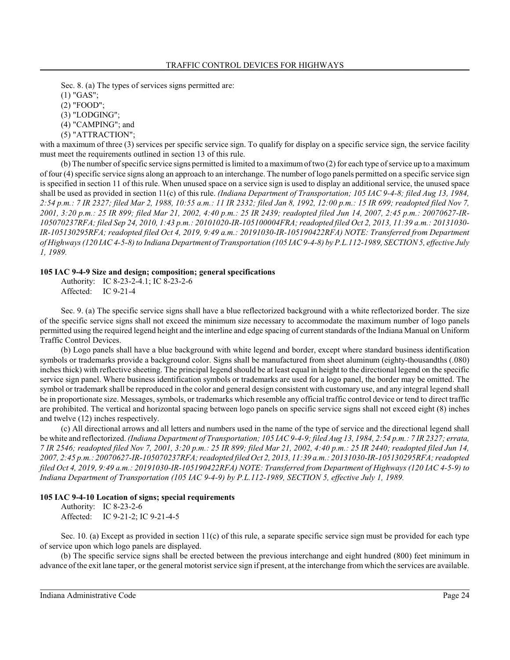Sec. 8. (a) The types of services signs permitted are:

(1) "GAS";

(2) "FOOD";

(3) "LODGING";

(4) "CAMPING"; and

(5) "ATTRACTION";

with a maximum of three (3) services per specific service sign. To qualify for display on a specific service sign, the service facility must meet the requirements outlined in section 13 of this rule.

(b) The number of specific service signs permitted is limited to a maximumof two (2) for each type of service up to a maximum of four (4) specific service signs along an approach to an interchange. The number of logo panels permitted on a specific service sign is specified in section 11 of this rule. When unused space on a service sign is used to display an additional service, the unused space shall be used as provided in section 11(c) of this rule. *(Indiana Department of Transportation; 105 IAC 9-4-8; filed Aug 13, 1984, 2:54 p.m.: 7 IR 2327; filed Mar 2, 1988, 10:55 a.m.: 11 IR 2332; filed Jan 8, 1992, 12:00 p.m.: 15 IR 699; readopted filed Nov 7, 2001, 3:20 p.m.: 25 IR 899; filed Mar 21, 2002, 4:40 p.m.: 25 IR 2439; readopted filed Jun 14, 2007, 2:45 p.m.: 20070627-IR-105070237RFA; filed Sep 24, 2010, 1:43 p.m.: 20101020-IR-105100004FRA; readopted filed Oct 2, 2013, 11:39 a.m.: 20131030- IR-105130295RFA; readopted filed Oct 4, 2019, 9:49 a.m.: 20191030-IR-105190422RFA) NOTE: Transferred from Department of Highways (120 IAC 4-5-8) to Indiana Department of Transportation (105 IAC 9-4-8) by P.L.112-1989, SECTION 5, effective July 1, 1989.*

#### **105 IAC 9-4-9 Size and design; composition; general specifications**

Authority: IC 8-23-2-4.1; IC 8-23-2-6 Affected: IC 9-21-4

Sec. 9. (a) The specific service signs shall have a blue reflectorized background with a white reflectorized border. The size of the specific service signs shall not exceed the minimum size necessary to accommodate the maximum number of logo panels permitted using the required legend height and the interline and edge spacing of current standards of the Indiana Manual on Uniform Traffic Control Devices.

(b) Logo panels shall have a blue background with white legend and border, except where standard business identification symbols or trademarks provide a background color. Signs shall be manufactured from sheet aluminum (eighty-thousandths (.080) inches thick) with reflective sheeting. The principal legend should be at least equal in height to the directional legend on the specific service sign panel. Where business identification symbols or trademarks are used for a logo panel, the border may be omitted. The symbol or trademark shall be reproduced in the color and general design consistent with customary use, and any integral legend shall be in proportionate size. Messages, symbols, or trademarks which resemble any official traffic control device or tend to direct traffic are prohibited. The vertical and horizontal spacing between logo panels on specific service signs shall not exceed eight (8) inches and twelve (12) inches respectively.

(c) All directional arrows and all letters and numbers used in the name of the type of service and the directional legend shall be white and reflectorized. *(Indiana Department of Transportation; 105 IAC 9-4-9; filed Aug 13, 1984, 2:54 p.m.: 7 IR 2327; errata, 7 IR 2546; readopted filed Nov 7, 2001, 3:20 p.m.: 25 IR 899; filed Mar 21, 2002, 4:40 p.m.: 25 IR 2440; readopted filed Jun 14, 2007, 2:45 p.m.: 20070627-IR-105070237RFA; readopted filed Oct 2, 2013, 11:39 a.m.: 20131030-IR-105130295RFA; readopted filed Oct 4, 2019, 9:49 a.m.: 20191030-IR-105190422RFA) NOTE: Transferred from Department of Highways (120 IAC 4-5-9) to Indiana Department of Transportation (105 IAC 9-4-9) by P.L.112-1989, SECTION 5, effective July 1, 1989.*

# **105 IAC 9-4-10 Location of signs; special requirements**

Authority: IC 8-23-2-6 Affected: IC 9-21-2; IC 9-21-4-5

Sec. 10. (a) Except as provided in section 11(c) of this rule, a separate specific service sign must be provided for each type of service upon which logo panels are displayed.

(b) The specific service signs shall be erected between the previous interchange and eight hundred (800) feet minimum in advance of the exit lane taper, or the general motorist service sign if present, at the interchange from which the services are available.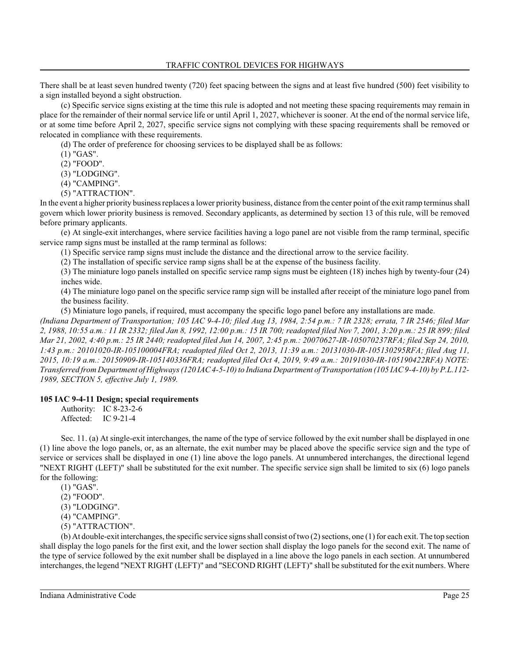There shall be at least seven hundred twenty (720) feet spacing between the signs and at least five hundred (500) feet visibility to a sign installed beyond a sight obstruction.

(c) Specific service signs existing at the time this rule is adopted and not meeting these spacing requirements may remain in place for the remainder of their normal service life or until April 1, 2027, whichever is sooner. At the end of the normal service life, or at some time before April 2, 2027, specific service signs not complying with these spacing requirements shall be removed or relocated in compliance with these requirements.

(d) The order of preference for choosing services to be displayed shall be as follows:

(1) "GAS".

(2) "FOOD".

(3) "LODGING".

(4) "CAMPING".

(5) "ATTRACTION".

In the event a higher priority business replaces a lower priority business, distance fromthe center point of the exit ramp terminus shall govern which lower priority business is removed. Secondary applicants, as determined by section 13 of this rule, will be removed before primary applicants.

(e) At single-exit interchanges, where service facilities having a logo panel are not visible from the ramp terminal, specific service ramp signs must be installed at the ramp terminal as follows:

(1) Specific service ramp signs must include the distance and the directional arrow to the service facility.

(2) The installation of specific service ramp signs shall be at the expense of the business facility.

(3) The miniature logo panels installed on specific service ramp signs must be eighteen (18) inches high by twenty-four (24) inches wide.

(4) The miniature logo panel on the specific service ramp sign will be installed after receipt of the miniature logo panel from the business facility.

(5) Miniature logo panels, if required, must accompany the specific logo panel before any installations are made.

*(Indiana Department of Transportation; 105 IAC 9-4-10; filed Aug 13, 1984, 2:54 p.m.: 7 IR 2328; errata, 7 IR 2546; filed Mar 2, 1988, 10:55 a.m.: 11 IR 2332; filed Jan 8, 1992, 12:00 p.m.: 15 IR 700; readopted filed Nov 7, 2001, 3:20 p.m.: 25 IR 899; filed Mar 21, 2002, 4:40 p.m.: 25 IR 2440; readopted filed Jun 14, 2007, 2:45 p.m.: 20070627-IR-105070237RFA; filed Sep 24, 2010, 1:43 p.m.: 20101020-IR-105100004FRA; readopted filed Oct 2, 2013, 11:39 a.m.: 20131030-IR-105130295RFA; filed Aug 11, 2015, 10:19 a.m.: 20150909-IR-105140336FRA; readopted filed Oct 4, 2019, 9:49 a.m.: 20191030-IR-105190422RFA) NOTE: Transferred from Department of Highways (120 IAC 4-5-10) to Indiana Department of Transportation (105 IAC 9-4-10) by P.L.112- 1989, SECTION 5, effective July 1, 1989.*

### **105 IAC 9-4-11 Design; special requirements**

Authority: IC 8-23-2-6 Affected: IC 9-21-4

Sec. 11. (a) At single-exit interchanges, the name of the type of service followed by the exit number shall be displayed in one (1) line above the logo panels, or, as an alternate, the exit number may be placed above the specific service sign and the type of service or services shall be displayed in one (1) line above the logo panels. At unnumbered interchanges, the directional legend "NEXT RIGHT (LEFT)" shall be substituted for the exit number. The specific service sign shall be limited to six (6) logo panels for the following:

(1) "GAS".

(2) "FOOD".

(3) "LODGING".

(4) "CAMPING".

(5) "ATTRACTION".

(b) At double-exit interchanges, the specific service signs shall consist of two (2) sections, one (1) for each exit. The top section shall display the logo panels for the first exit, and the lower section shall display the logo panels for the second exit. The name of the type of service followed by the exit number shall be displayed in a line above the logo panels in each section. At unnumbered interchanges, the legend "NEXT RIGHT (LEFT)" and "SECOND RIGHT (LEFT)" shall be substituted for the exit numbers. Where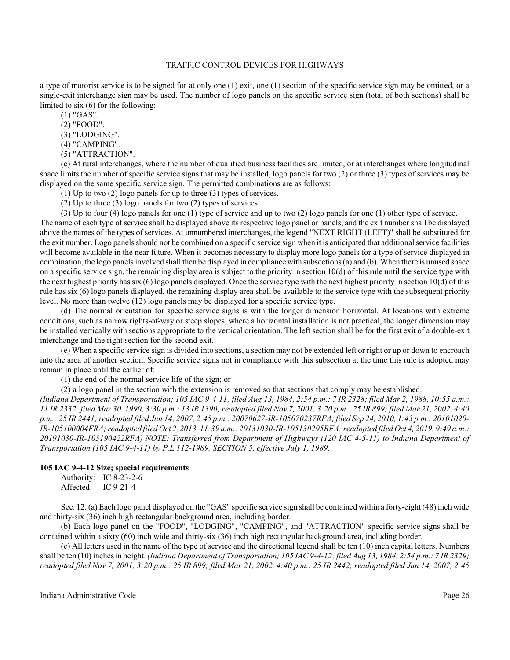a type of motorist service is to be signed for at only one (1) exit, one (1) section of the specific service sign may be omitted, or a single-exit interchange sign may be used. The number of logo panels on the specific service sign (total of both sections) shall be limited to six (6) for the following:

(1) "GAS".

(2) "FOOD".

(3) "LODGING".

(4) "CAMPING".

(5) "ATTRACTION".

(c) At rural interchanges, where the number of qualified business facilities are limited, or at interchanges where longitudinal space limits the number of specific service signs that may be installed, logo panels for two (2) or three (3) types of services may be displayed on the same specific service sign. The permitted combinations are as follows:

(1) Up to two (2) logo panels for up to three (3) types of services.

(2) Up to three (3) logo panels for two (2) types of services.

(3) Up to four (4) logo panels for one (1) type of service and up to two (2) logo panels for one (1) other type of service. The name of each type of service shall be displayed above its respective logo panel or panels, and the exit number shall be displayed above the names of the types of services. At unnumbered interchanges, the legend "NEXT RIGHT (LEFT)" shall be substituted for the exit number. Logo panels should not be combined on a specific service sign when it is anticipated that additional service facilities will become available in the near future. When it becomes necessary to display more logo panels for a type of service displayed in combination, the logo panels involved shall then be displayed in compliance with subsections (a) and (b). When there is unused space on a specific service sign, the remaining display area is subject to the priority in section 10(d) of this rule until the service type with the next highest priority has six (6) logo panels displayed. Once the service type with the next highest priority in section  $10(d)$  of this rule has six (6) logo panels displayed, the remaining display area shall be available to the service type with the subsequent priority level. No more than twelve (12) logo panels may be displayed for a specific service type.

(d) The normal orientation for specific service signs is with the longer dimension horizontal. At locations with extreme conditions, such as narrow rights-of-way or steep slopes, where a horizontal installation is not practical, the longer dimension may be installed vertically with sections appropriate to the vertical orientation. The left section shall be for the first exit of a double-exit interchange and the right section for the second exit.

(e) When a specific service sign is divided into sections, a section may not be extended left or right or up or down to encroach into the area of another section. Specific service signs not in compliance with this subsection at the time this rule is adopted may remain in place until the earlier of:

(1) the end of the normal service life of the sign; or

(2) a logo panel in the section with the extension is removed so that sections that comply may be established.

*(Indiana Department of Transportation; 105 IAC 9-4-11; filed Aug 13, 1984, 2:54 p.m.: 7 IR 2328; filed Mar 2, 1988, 10:55 a.m.: 11 IR 2332; filed Mar 30, 1990, 3:30 p.m.: 13 IR 1390; readopted filed Nov 7, 2001, 3:20 p.m.: 25 IR 899; filed Mar 21, 2002, 4:40 p.m.: 25 IR 2441; readopted filed Jun 14, 2007, 2:45 p.m.: 20070627-IR-105070237RFA; filed Sep 24, 2010, 1:43 p.m.: 20101020- IR-105100004FRA; readopted filed Oct 2, 2013, 11:39 a.m.: 20131030-IR-105130295RFA; readopted filed Oct 4, 2019, 9:49 a.m.: 20191030-IR-105190422RFA) NOTE: Transferred from Department of Highways (120 IAC 4-5-11) to Indiana Department of Transportation (105 IAC 9-4-11) by P.L.112-1989, SECTION 5, effective July 1, 1989.*

### **105 IAC 9-4-12 Size; special requirements**

Authority: IC 8-23-2-6 Affected: IC 9-21-4

Sec. 12. (a) Each logo panel displayed on the "GAS" specific service sign shall be contained within a forty-eight (48) inch wide and thirty-six (36) inch high rectangular background area, including border.

(b) Each logo panel on the "FOOD", "LODGING", "CAMPING", and "ATTRACTION" specific service signs shall be contained within a sixty (60) inch wide and thirty-six (36) inch high rectangular background area, including border.

(c) All letters used in the name of the type of service and the directional legend shall be ten (10) inch capital letters. Numbers shall be ten (10) inches in height. *(Indiana Department of Transportation; 105 IAC 9-4-12; filed Aug 13, 1984, 2:54 p.m.: 7 IR 2329; readopted filed Nov 7, 2001, 3:20 p.m.: 25 IR 899; filed Mar 21, 2002, 4:40 p.m.: 25 IR 2442; readopted filed Jun 14, 2007, 2:45*

Indiana Administrative Code Page 26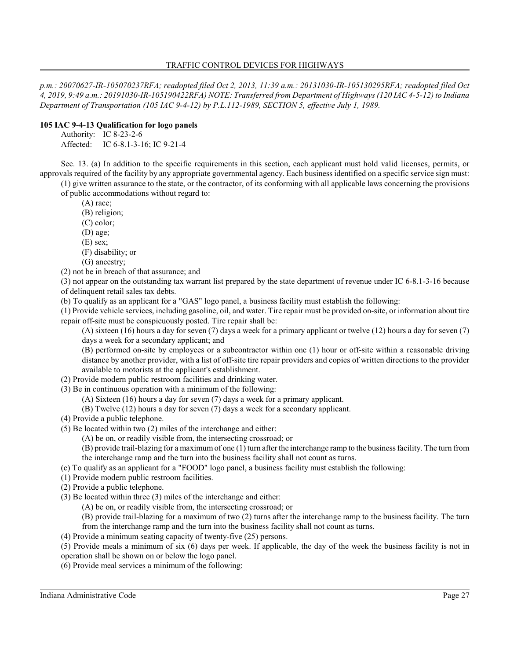*p.m.: 20070627-IR-105070237RFA; readopted filed Oct 2, 2013, 11:39 a.m.: 20131030-IR-105130295RFA; readopted filed Oct 4, 2019, 9:49 a.m.: 20191030-IR-105190422RFA) NOTE: Transferred from Department of Highways (120 IAC 4-5-12) to Indiana Department of Transportation (105 IAC 9-4-12) by P.L.112-1989, SECTION 5, effective July 1, 1989.*

### **105 IAC 9-4-13 Qualification for logo panels**

Authority: IC 8-23-2-6 Affected: IC 6-8.1-3-16; IC 9-21-4

Sec. 13. (a) In addition to the specific requirements in this section, each applicant must hold valid licenses, permits, or approvals required of the facility by any appropriate governmental agency. Each business identified on a specific service sign must:

(1) give written assurance to the state, or the contractor, of its conforming with all applicable laws concerning the provisions of public accommodations without regard to:

(A) race;

(B) religion;

(C) color;

(D) age;

(E) sex;

(F) disability; or

(G) ancestry;

(2) not be in breach of that assurance; and

(3) not appear on the outstanding tax warrant list prepared by the state department of revenue under IC 6-8.1-3-16 because of delinquent retail sales tax debts.

(b) To qualify as an applicant for a "GAS" logo panel, a business facility must establish the following:

(1) Provide vehicle services, including gasoline, oil, and water. Tire repair must be provided on-site, or information about tire repair off-site must be conspicuously posted. Tire repair shall be:

(A) sixteen (16) hours a day for seven (7) days a week for a primary applicant or twelve (12) hours a day for seven (7) days a week for a secondary applicant; and

(B) performed on-site by employees or a subcontractor within one (1) hour or off-site within a reasonable driving distance by another provider, with a list of off-site tire repair providers and copies of written directions to the provider available to motorists at the applicant's establishment.

- (2) Provide modern public restroom facilities and drinking water.
- (3) Be in continuous operation with a minimum of the following:
	- (A) Sixteen (16) hours a day for seven (7) days a week for a primary applicant.
	- (B) Twelve (12) hours a day for seven (7) days a week for a secondary applicant.
- (4) Provide a public telephone.
- (5) Be located within two (2) miles of the interchange and either:
	- (A) be on, or readily visible from, the intersecting crossroad; or

(B) provide trail-blazing for a maximumof one (1) turn after the interchange ramp to the business facility. The turn from the interchange ramp and the turn into the business facility shall not count as turns.

(c) To qualify as an applicant for a "FOOD" logo panel, a business facility must establish the following:

- (1) Provide modern public restroom facilities.
- (2) Provide a public telephone.
- (3) Be located within three (3) miles of the interchange and either:

(A) be on, or readily visible from, the intersecting crossroad; or

(B) provide trail-blazing for a maximum of two (2) turns after the interchange ramp to the business facility. The turn from the interchange ramp and the turn into the business facility shall not count as turns.

(4) Provide a minimum seating capacity of twenty-five (25) persons.

(5) Provide meals a minimum of six (6) days per week. If applicable, the day of the week the business facility is not in operation shall be shown on or below the logo panel.

(6) Provide meal services a minimum of the following: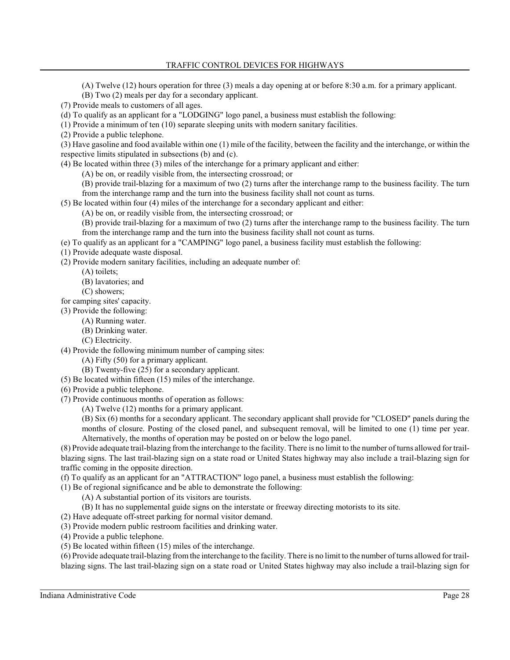(A) Twelve (12) hours operation for three (3) meals a day opening at or before 8:30 a.m. for a primary applicant.

(B) Two (2) meals per day for a secondary applicant.

(7) Provide meals to customers of all ages.

(d) To qualify as an applicant for a "LODGING" logo panel, a business must establish the following:

(1) Provide a minimum of ten (10) separate sleeping units with modern sanitary facilities.

(2) Provide a public telephone.

(3) Have gasoline and food available within one (1) mile of the facility, between the facility and the interchange, or within the respective limits stipulated in subsections (b) and (c).

(4) Be located within three (3) miles of the interchange for a primary applicant and either:

(A) be on, or readily visible from, the intersecting crossroad; or

(B) provide trail-blazing for a maximum of two (2) turns after the interchange ramp to the business facility. The turn from the interchange ramp and the turn into the business facility shall not count as turns.

(5) Be located within four (4) miles of the interchange for a secondary applicant and either:

(A) be on, or readily visible from, the intersecting crossroad; or

(B) provide trail-blazing for a maximum of two (2) turns after the interchange ramp to the business facility. The turn from the interchange ramp and the turn into the business facility shall not count as turns.

(e) To qualify as an applicant for a "CAMPING" logo panel, a business facility must establish the following:

(1) Provide adequate waste disposal.

(2) Provide modern sanitary facilities, including an adequate number of:

(A) toilets;

(B) lavatories; and

(C) showers;

for camping sites' capacity.

(3) Provide the following:

(A) Running water.

(B) Drinking water.

(C) Electricity.

(4) Provide the following minimum number of camping sites:

(A) Fifty (50) for a primary applicant.

(B) Twenty-five (25) for a secondary applicant.

(5) Be located within fifteen (15) miles of the interchange.

(6) Provide a public telephone.

(7) Provide continuous months of operation as follows:

(A) Twelve (12) months for a primary applicant.

(B) Six (6) months for a secondary applicant. The secondary applicant shall provide for "CLOSED" panels during the months of closure. Posting of the closed panel, and subsequent removal, will be limited to one (1) time per year. Alternatively, the months of operation may be posted on or below the logo panel.

(8) Provide adequate trail-blazing fromthe interchange to the facility. There is no limit to the number of turns allowed for trailblazing signs. The last trail-blazing sign on a state road or United States highway may also include a trail-blazing sign for traffic coming in the opposite direction.

(f) To qualify as an applicant for an "ATTRACTION" logo panel, a business must establish the following:

(1) Be of regional significance and be able to demonstrate the following:

(A) A substantial portion of its visitors are tourists.

(B) It has no supplemental guide signs on the interstate or freeway directing motorists to its site.

(2) Have adequate off-street parking for normal visitor demand.

(3) Provide modern public restroom facilities and drinking water.

(4) Provide a public telephone.

(5) Be located within fifteen (15) miles of the interchange.

(6) Provide adequate trail-blazing fromthe interchange to the facility. There is no limit to the number of turns allowed for trailblazing signs. The last trail-blazing sign on a state road or United States highway may also include a trail-blazing sign for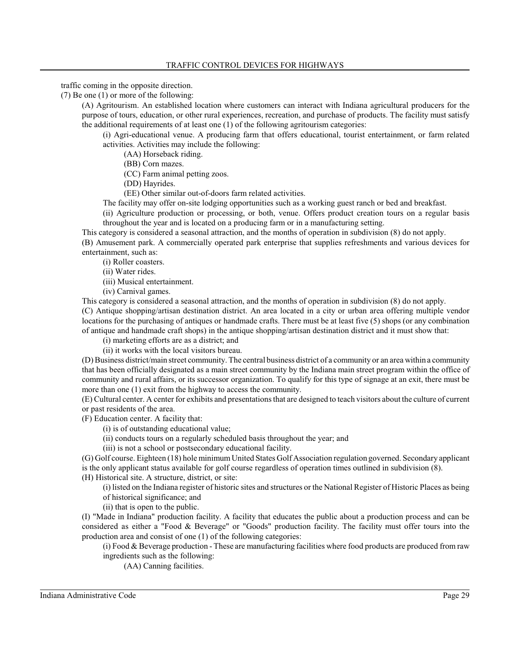traffic coming in the opposite direction.

(7) Be one (1) or more of the following:

(A) Agritourism. An established location where customers can interact with Indiana agricultural producers for the purpose of tours, education, or other rural experiences, recreation, and purchase of products. The facility must satisfy the additional requirements of at least one (1) of the following agritourism categories:

(i) Agri-educational venue. A producing farm that offers educational, tourist entertainment, or farm related activities. Activities may include the following:

(AA) Horseback riding.

(BB) Corn mazes.

(CC) Farm animal petting zoos.

(DD) Hayrides.

(EE) Other similar out-of-doors farm related activities.

The facility may offer on-site lodging opportunities such as a working guest ranch or bed and breakfast.

(ii) Agriculture production or processing, or both, venue. Offers product creation tours on a regular basis throughout the year and is located on a producing farm or in a manufacturing setting.

This category is considered a seasonal attraction, and the months of operation in subdivision (8) do not apply.

(B) Amusement park. A commercially operated park enterprise that supplies refreshments and various devices for entertainment, such as:

(i) Roller coasters.

(ii) Water rides.

(iii) Musical entertainment.

(iv) Carnival games.

This category is considered a seasonal attraction, and the months of operation in subdivision (8) do not apply. (C) Antique shopping/artisan destination district. An area located in a city or urban area offering multiple vendor locations for the purchasing of antiques or handmade crafts. There must be at least five (5) shops (or any combination of antique and handmade craft shops) in the antique shopping/artisan destination district and it must show that:

(i) marketing efforts are as a district; and

(ii) it works with the local visitors bureau.

(D) Business district/main street community. The central business district of a community or an area within a community that has been officially designated as a main street community by the Indiana main street program within the office of community and rural affairs, or its successor organization. To qualify for this type of signage at an exit, there must be more than one (1) exit from the highway to access the community.

(E) Cultural center. A center for exhibits and presentationsthat are designed to teach visitors about the culture of current or past residents of the area.

(F) Education center. A facility that:

(i) is of outstanding educational value;

(ii) conducts tours on a regularly scheduled basis throughout the year; and

(iii) is not a school or postsecondary educational facility.

(G) Golf course. Eighteen (18) hole minimumUnited States Golf Association regulation governed. Secondary applicant is the only applicant status available for golf course regardless of operation times outlined in subdivision (8). (H) Historical site. A structure, district, or site:

(i) listed on the Indiana register of historic sites and structures or the National Register of Historic Places as being of historical significance; and

(ii) that is open to the public.

(I) "Made in Indiana" production facility. A facility that educates the public about a production process and can be considered as either a "Food & Beverage" or "Goods" production facility. The facility must offer tours into the production area and consist of one (1) of the following categories:

(i) Food & Beverage production - These are manufacturing facilities where food products are produced from raw ingredients such as the following:

(AA) Canning facilities.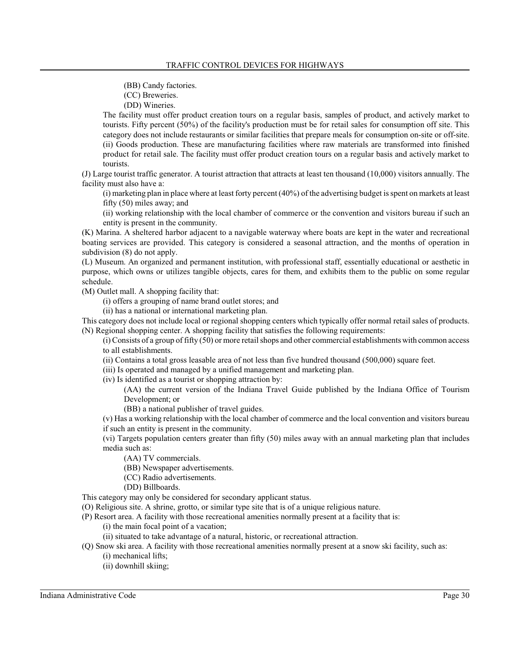(BB) Candy factories.

(CC) Breweries.

(DD) Wineries.

The facility must offer product creation tours on a regular basis, samples of product, and actively market to tourists. Fifty percent (50%) of the facility's production must be for retail sales for consumption off site. This category does not include restaurants or similar facilities that prepare meals for consumption on-site or off-site. (ii) Goods production. These are manufacturing facilities where raw materials are transformed into finished product for retail sale. The facility must offer product creation tours on a regular basis and actively market to tourists.

(J) Large tourist traffic generator. A tourist attraction that attracts at least ten thousand (10,000) visitors annually. The facility must also have a:

(i) marketing plan in place where at least forty percent (40%) of the advertising budget is spent on markets at least fifty (50) miles away; and

(ii) working relationship with the local chamber of commerce or the convention and visitors bureau if such an entity is present in the community.

(K) Marina. A sheltered harbor adjacent to a navigable waterway where boats are kept in the water and recreational boating services are provided. This category is considered a seasonal attraction, and the months of operation in subdivision (8) do not apply.

(L) Museum. An organized and permanent institution, with professional staff, essentially educational or aesthetic in purpose, which owns or utilizes tangible objects, cares for them, and exhibits them to the public on some regular schedule.

(M) Outlet mall. A shopping facility that:

(i) offers a grouping of name brand outlet stores; and

(ii) has a national or international marketing plan.

This category does not include local or regional shopping centers which typically offer normal retail sales of products. (N) Regional shopping center. A shopping facility that satisfies the following requirements:

(i) Consists of a group of fifty (50) or more retail shops and other commercial establishments with common access to all establishments.

(ii) Contains a total gross leasable area of not less than five hundred thousand (500,000) square feet.

(iii) Is operated and managed by a unified management and marketing plan.

(iv) Is identified as a tourist or shopping attraction by:

(AA) the current version of the Indiana Travel Guide published by the Indiana Office of Tourism Development; or

(BB) a national publisher of travel guides.

(v) Has a working relationship with the local chamber of commerce and the local convention and visitors bureau if such an entity is present in the community.

(vi) Targets population centers greater than fifty (50) miles away with an annual marketing plan that includes media such as:

(AA) TV commercials.

(BB) Newspaper advertisements.

(CC) Radio advertisements.

(DD) Billboards.

This category may only be considered for secondary applicant status.

(O) Religious site. A shrine, grotto, or similar type site that is of a unique religious nature.

(P) Resort area. A facility with those recreational amenities normally present at a facility that is:

(i) the main focal point of a vacation;

(ii) situated to take advantage of a natural, historic, or recreational attraction.

- (Q) Snow ski area. A facility with those recreational amenities normally present at a snow ski facility, such as: (i) mechanical lifts;
	- (ii) downhill skiing;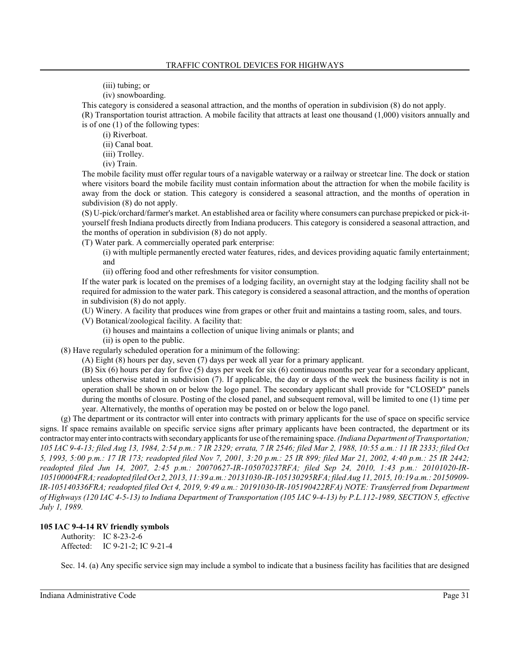(iii) tubing; or

(iv) snowboarding.

This category is considered a seasonal attraction, and the months of operation in subdivision (8) do not apply. (R) Transportation tourist attraction. A mobile facility that attracts at least one thousand (1,000) visitors annually and is of one (1) of the following types:

(i) Riverboat.

(ii) Canal boat.

(iii) Trolley.

(iv) Train.

The mobile facility must offer regular tours of a navigable waterway or a railway or streetcar line. The dock or station where visitors board the mobile facility must contain information about the attraction for when the mobile facility is away from the dock or station. This category is considered a seasonal attraction, and the months of operation in subdivision (8) do not apply.

(S) U-pick/orchard/farmer's market. An established area or facility where consumers can purchase prepicked or pick-ityourself fresh Indiana products directly from Indiana producers. This category is considered a seasonal attraction, and the months of operation in subdivision (8) do not apply.

(T) Water park. A commercially operated park enterprise:

(i) with multiple permanently erected water features, rides, and devices providing aquatic family entertainment; and

(ii) offering food and other refreshments for visitor consumption.

If the water park is located on the premises of a lodging facility, an overnight stay at the lodging facility shall not be required for admission to the water park. This category is considered a seasonal attraction, and the months of operation in subdivision (8) do not apply.

(U) Winery. A facility that produces wine from grapes or other fruit and maintains a tasting room, sales, and tours.

(V) Botanical/zoological facility. A facility that:

(i) houses and maintains a collection of unique living animals or plants; and

(ii) is open to the public.

(8) Have regularly scheduled operation for a minimum of the following:

(A) Eight (8) hours per day, seven (7) days per week all year for a primary applicant.

(B) Six (6) hours per day for five (5) days per week for six (6) continuous months per year for a secondary applicant, unless otherwise stated in subdivision (7). If applicable, the day or days of the week the business facility is not in operation shall be shown on or below the logo panel. The secondary applicant shall provide for "CLOSED" panels during the months of closure. Posting of the closed panel, and subsequent removal, will be limited to one (1) time per year. Alternatively, the months of operation may be posted on or below the logo panel.

(g) The department or its contractor will enter into contracts with primary applicants for the use of space on specific service signs. If space remains available on specific service signs after primary applicants have been contracted, the department or its contractor may enter into contracts with secondaryapplicants for use of the remaining space. *(Indiana Department of Transportation; 105 IAC 9-4-13; filed Aug 13, 1984, 2:54 p.m.: 7 IR 2329; errata, 7 IR 2546; filed Mar 2, 1988, 10:55 a.m.: 11 IR 2333; filed Oct 5, 1993, 5:00 p.m.: 17 IR 173; readopted filed Nov 7, 2001, 3:20 p.m.: 25 IR 899; filed Mar 21, 2002, 4:40 p.m.: 25 IR 2442; readopted filed Jun 14, 2007, 2:45 p.m.: 20070627-IR-105070237RFA; filed Sep 24, 2010, 1:43 p.m.: 20101020-IR-105100004FRA; readopted filed Oct 2, 2013, 11:39 a.m.: 20131030-IR-105130295RFA; filed Aug 11, 2015, 10:19 a.m.: 20150909- IR-105140336FRA; readopted filed Oct 4, 2019, 9:49 a.m.: 20191030-IR-105190422RFA) NOTE: Transferred from Department of Highways (120 IAC 4-5-13) to Indiana Department of Transportation (105 IAC 9-4-13) by P.L.112-1989, SECTION 5, effective July 1, 1989.*

# **105 IAC 9-4-14 RV friendly symbols**

Authority: IC 8-23-2-6 Affected: IC 9-21-2; IC 9-21-4

Sec. 14. (a) Any specific service sign may include a symbol to indicate that a business facility has facilities that are designed